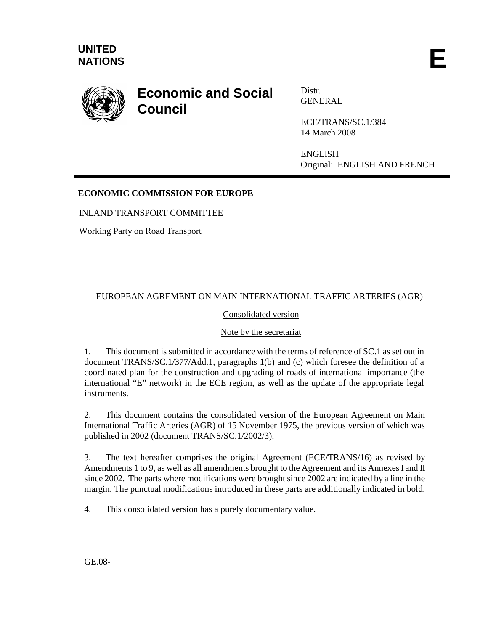

# **Economic and Social Council**

Distr. GENERAL

ECE/TRANS/SC.1/384 14 March 2008

ENGLISH Original: ENGLISH AND FRENCH

# **ECONOMIC COMMISSION FOR EUROPE**

INLAND TRANSPORT COMMITTEE

Working Party on Road Transport

# EUROPEAN AGREMENT ON MAIN INTERNATIONAL TRAFFIC ARTERIES (AGR)

# Consolidated version

### Note by the secretariat

1. This document is submitted in accordance with the terms of reference of SC.1 as set out in document TRANS/SC.1/377/Add.1, paragraphs 1(b) and (c) which foresee the definition of a coordinated plan for the construction and upgrading of roads of international importance (the international "E" network) in the ECE region, as well as the update of the appropriate legal instruments.

2. This document contains the consolidated version of the European Agreement on Main International Traffic Arteries (AGR) of 15 November 1975, the previous version of which was published in 2002 (document TRANS/SC.1/2002/3).

3. The text hereafter comprises the original Agreement (ECE/TRANS/16) as revised by Amendments 1 to 9, as well as all amendments brought to the Agreement and its Annexes I and II since 2002. The parts where modifications were brought since 2002 are indicated by a line in the margin. The punctual modifications introduced in these parts are additionally indicated in bold.

4. This consolidated version has a purely documentary value.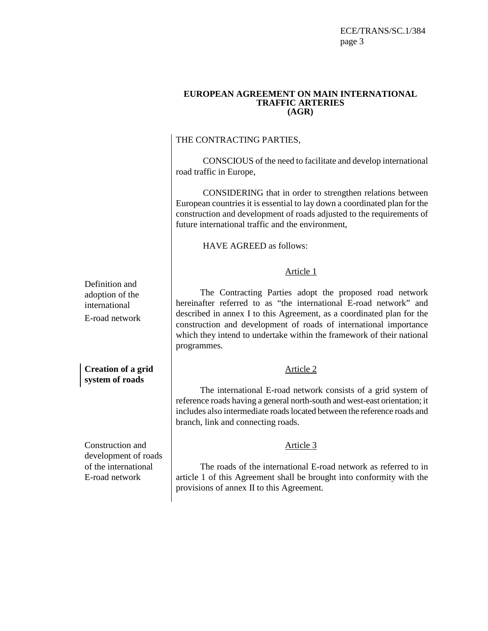ECE/TRANS/SC.1/384 page 3

#### **EUROPEAN AGREEMENT ON MAIN INTERNATIONAL TRAFFIC ARTERIES (AGR)**

# THE CONTRACTING PARTIES,

CONSCIOUS of the need to facilitate and develop international road traffic in Europe,

CONSIDERING that in order to strengthen relations between European countries it is essential to lay down a coordinated plan for the construction and development of roads adjusted to the requirements of future international traffic and the environment,

HAVE AGREED as follows:

# Article 1

 The Contracting Parties adopt the proposed road network hereinafter referred to as "the international E-road network" and described in annex I to this Agreement, as a coordinated plan for the construction and development of roads of international importance which they intend to undertake within the framework of their national programmes.

### Article 2

 The international E-road network consists of a grid system of reference roads having a general north-south and west-east orientation; it includes also intermediate roads located between the reference roads and branch, link and connecting roads.

### Article 3

 The roads of the international E-road network as referred to in article 1 of this Agreement shall be brought into conformity with the provisions of annex II to this Agreement.

Definition and adoption of the international E-road network

**Creation of a grid system of roads** 

Construction and development of roads of the international E-road network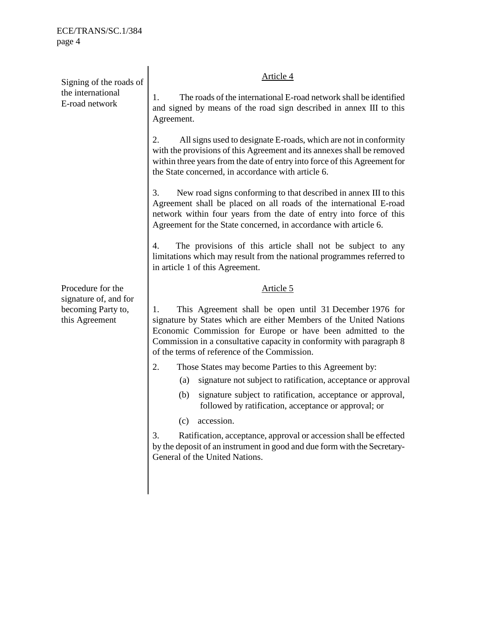Signing of the roads of the international E-road network Article 4 1. The roads of the international E-road network shall be identified and signed by means of the road sign described in annex III to this Agreement. 2. All signs used to designate E-roads, which are not in conformity with the provisions of this Agreement and its annexes shall be removed within three years from the date of entry into force of this Agreement for the State concerned, in accordance with article 6. 3. New road signs conforming to that described in annex III to this Agreement shall be placed on all roads of the international E-road network within four years from the date of entry into force of this Agreement for the State concerned, in accordance with article 6. 4. The provisions of this article shall not be subject to any limitations which may result from the national programmes referred to in article 1 of this Agreement. Procedure for the signature of, and for becoming Party to, this Agreement Article 5 1. This Agreement shall be open until 31 December 1976 for signature by States which are either Members of the United Nations Economic Commission for Europe or have been admitted to the Commission in a consultative capacity in conformity with paragraph 8 of the terms of reference of the Commission. 2. Those States may become Parties to this Agreement by:

- (a) signature not subject to ratification, acceptance or approval;
- (b) signature subject to ratification, acceptance or approval, followed by ratification, acceptance or approval; or
- (c) accession.

3. Ratification, acceptance, approval or accession shall be effected by the deposit of an instrument in good and due form with the Secretary-General of the United Nations.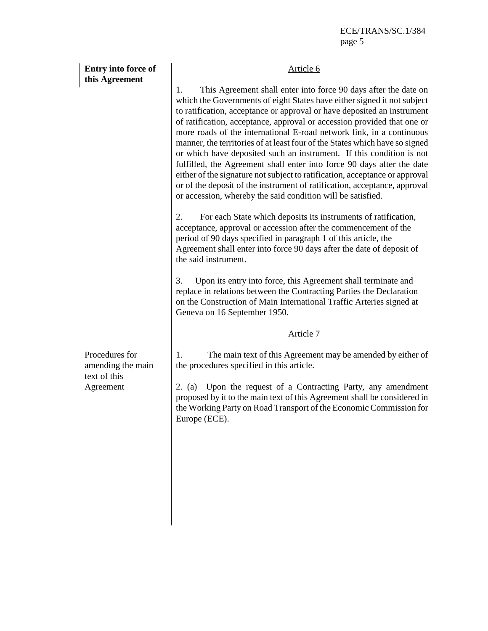| Entry into force of<br>this Agreement               | Article 6                                                                                                                                                                                                                                                                                                                                                                                                                                                                                                                                                                                                                                                                                                                                                                                                                                  |
|-----------------------------------------------------|--------------------------------------------------------------------------------------------------------------------------------------------------------------------------------------------------------------------------------------------------------------------------------------------------------------------------------------------------------------------------------------------------------------------------------------------------------------------------------------------------------------------------------------------------------------------------------------------------------------------------------------------------------------------------------------------------------------------------------------------------------------------------------------------------------------------------------------------|
|                                                     | This Agreement shall enter into force 90 days after the date on<br>1.<br>which the Governments of eight States have either signed it not subject<br>to ratification, acceptance or approval or have deposited an instrument<br>of ratification, acceptance, approval or accession provided that one or<br>more roads of the international E-road network link, in a continuous<br>manner, the territories of at least four of the States which have so signed<br>or which have deposited such an instrument. If this condition is not<br>fulfilled, the Agreement shall enter into force 90 days after the date<br>either of the signature not subject to ratification, acceptance or approval<br>or of the deposit of the instrument of ratification, acceptance, approval<br>or accession, whereby the said condition will be satisfied. |
|                                                     | 2.<br>For each State which deposits its instruments of ratification,<br>acceptance, approval or accession after the commencement of the<br>period of 90 days specified in paragraph 1 of this article, the<br>Agreement shall enter into force 90 days after the date of deposit of<br>the said instrument.                                                                                                                                                                                                                                                                                                                                                                                                                                                                                                                                |
|                                                     | Upon its entry into force, this Agreement shall terminate and<br>3.<br>replace in relations between the Contracting Parties the Declaration<br>on the Construction of Main International Traffic Arteries signed at<br>Geneva on 16 September 1950.                                                                                                                                                                                                                                                                                                                                                                                                                                                                                                                                                                                        |
|                                                     | <u>Article 7</u>                                                                                                                                                                                                                                                                                                                                                                                                                                                                                                                                                                                                                                                                                                                                                                                                                           |
| Procedures for<br>amending the main<br>text of this | The main text of this Agreement may be amended by either of<br>1.<br>the procedures specified in this article.                                                                                                                                                                                                                                                                                                                                                                                                                                                                                                                                                                                                                                                                                                                             |
| Agreement                                           | Upon the request of a Contracting Party, any amendment<br>2. (a)<br>proposed by it to the main text of this Agreement shall be considered in<br>the Working Party on Road Transport of the Economic Commission for<br>Europe (ECE).                                                                                                                                                                                                                                                                                                                                                                                                                                                                                                                                                                                                        |
|                                                     |                                                                                                                                                                                                                                                                                                                                                                                                                                                                                                                                                                                                                                                                                                                                                                                                                                            |
|                                                     |                                                                                                                                                                                                                                                                                                                                                                                                                                                                                                                                                                                                                                                                                                                                                                                                                                            |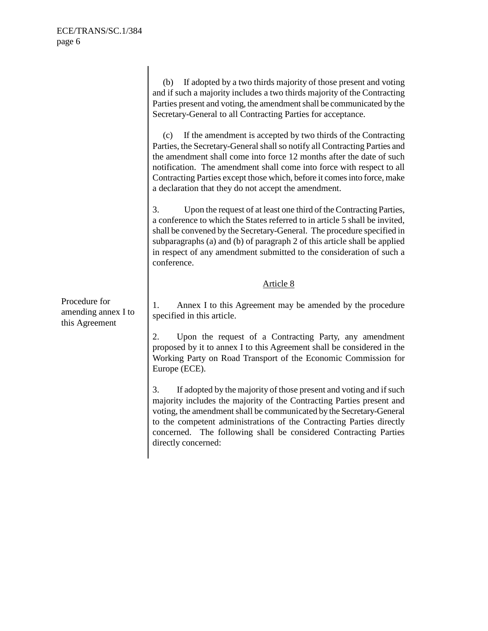|                                                        | If adopted by a two thirds majority of those present and voting<br>(b)<br>and if such a majority includes a two thirds majority of the Contracting<br>Parties present and voting, the amendment shall be communicated by the<br>Secretary-General to all Contracting Parties for acceptance.<br>If the amendment is accepted by two thirds of the Contracting<br>(c)<br>Parties, the Secretary-General shall so notify all Contracting Parties and<br>the amendment shall come into force 12 months after the date of such<br>notification. The amendment shall come into force with respect to all<br>Contracting Parties except those which, before it comes into force, make<br>a declaration that they do not accept the amendment.<br>3.<br>Upon the request of at least one third of the Contracting Parties,<br>a conference to which the States referred to in article 5 shall be invited, |
|--------------------------------------------------------|----------------------------------------------------------------------------------------------------------------------------------------------------------------------------------------------------------------------------------------------------------------------------------------------------------------------------------------------------------------------------------------------------------------------------------------------------------------------------------------------------------------------------------------------------------------------------------------------------------------------------------------------------------------------------------------------------------------------------------------------------------------------------------------------------------------------------------------------------------------------------------------------------|
|                                                        | shall be convened by the Secretary-General. The procedure specified in<br>subparagraphs (a) and (b) of paragraph 2 of this article shall be applied<br>in respect of any amendment submitted to the consideration of such a<br>conference.                                                                                                                                                                                                                                                                                                                                                                                                                                                                                                                                                                                                                                                         |
|                                                        | Article 8                                                                                                                                                                                                                                                                                                                                                                                                                                                                                                                                                                                                                                                                                                                                                                                                                                                                                          |
| Procedure for<br>amending annex I to<br>this Agreement | Annex I to this Agreement may be amended by the procedure<br>1.<br>specified in this article.                                                                                                                                                                                                                                                                                                                                                                                                                                                                                                                                                                                                                                                                                                                                                                                                      |
|                                                        | 2.<br>Upon the request of a Contracting Party, any amendment<br>proposed by it to annex I to this Agreement shall be considered in the<br>Working Party on Road Transport of the Economic Commission for<br>Europe (ECE).                                                                                                                                                                                                                                                                                                                                                                                                                                                                                                                                                                                                                                                                          |
|                                                        | 3.<br>If adopted by the majority of those present and voting and if such<br>majority includes the majority of the Contracting Parties present and<br>voting, the amendment shall be communicated by the Secretary-General<br>to the competent administrations of the Contracting Parties directly<br>concerned. The following shall be considered Contracting Parties<br>directly concerned:                                                                                                                                                                                                                                                                                                                                                                                                                                                                                                       |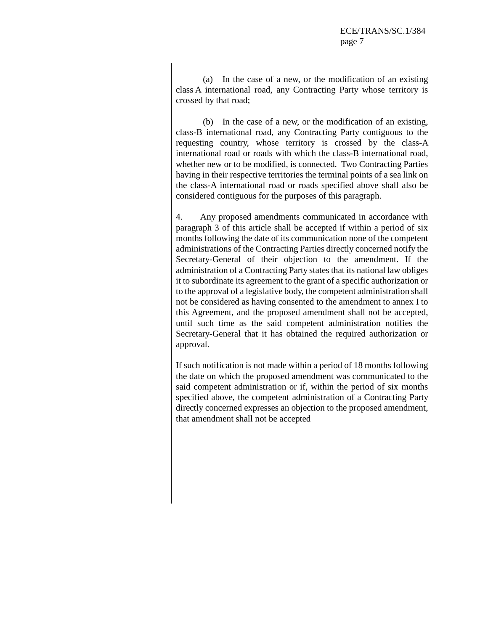(a) In the case of a new, or the modification of an existing class A international road, any Contracting Party whose territory is crossed by that road;

 (b) In the case of a new, or the modification of an existing, class-B international road, any Contracting Party contiguous to the requesting country, whose territory is crossed by the class-A international road or roads with which the class-B international road, whether new or to be modified, is connected. Two Contracting Parties having in their respective territories the terminal points of a sea link on the class-A international road or roads specified above shall also be considered contiguous for the purposes of this paragraph.

4. Any proposed amendments communicated in accordance with paragraph 3 of this article shall be accepted if within a period of six months following the date of its communication none of the competent administrations of the Contracting Parties directly concerned notify the Secretary-General of their objection to the amendment. If the administration of a Contracting Party states that its national law obliges it to subordinate its agreement to the grant of a specific authorization or to the approval of a legislative body, the competent administration shall not be considered as having consented to the amendment to annex I to this Agreement, and the proposed amendment shall not be accepted, until such time as the said competent administration notifies the Secretary-General that it has obtained the required authorization or approval.

If such notification is not made within a period of 18 months following the date on which the proposed amendment was communicated to the said competent administration or if, within the period of six months specified above, the competent administration of a Contracting Party directly concerned expresses an objection to the proposed amendment, that amendment shall not be accepted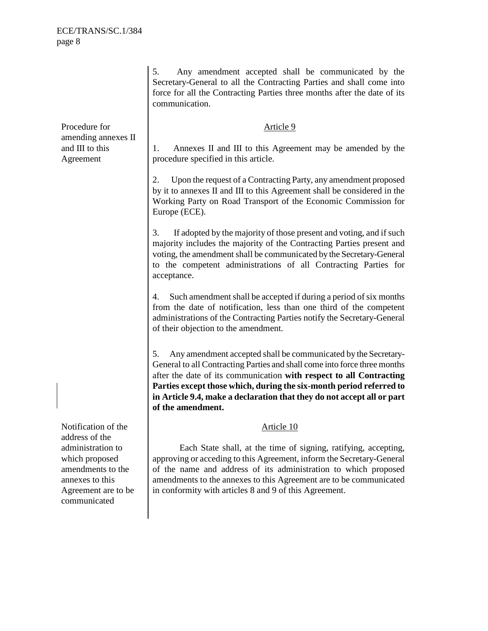5. Any amendment accepted shall be communicated by the Secretary-General to all the Contracting Parties and shall come into force for all the Contracting Parties three months after the date of its communication. Procedure for amending annexes II and III to this Agreement Article 9 1. Annexes II and III to this Agreement may be amended by the procedure specified in this article. 2. Upon the request of a Contracting Party, any amendment proposed by it to annexes II and III to this Agreement shall be considered in the Working Party on Road Transport of the Economic Commission for Europe (ECE). 3. If adopted by the majority of those present and voting, and if such majority includes the majority of the Contracting Parties present and voting, the amendment shall be communicated by the Secretary-General to the competent administrations of all Contracting Parties for acceptance. Such amendment shall be accepted if during a period of six months from the date of notification, less than one third of the competent administrations of the Contracting Parties notify the Secretary-General of their objection to the amendment. 5. Any amendment accepted shall be communicated by the Secretary-General to all Contracting Parties and shall come into force three months after the date of its communication **with respect to all Contracting Parties except those which, during the six-month period referred to in Article 9.4, make a declaration that they do not accept all or part of the amendment.** Notification of the address of the administration to which proposed amendments to the annexes to this Agreement are to be communicated Article 10 Each State shall, at the time of signing, ratifying, accepting, approving or acceding to this Agreement, inform the Secretary-General of the name and address of its administration to which proposed amendments to the annexes to this Agreement are to be communicated in conformity with articles 8 and 9 of this Agreement.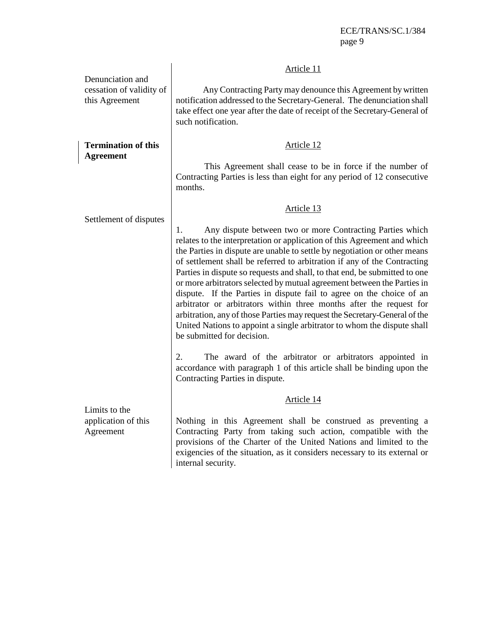|                                                                | Article 11                                                                                                                                                                                                                                                                                                                                                                                                                                                                                                                                                                                                                                                                                                                                                                                                                                                                                                                                    |
|----------------------------------------------------------------|-----------------------------------------------------------------------------------------------------------------------------------------------------------------------------------------------------------------------------------------------------------------------------------------------------------------------------------------------------------------------------------------------------------------------------------------------------------------------------------------------------------------------------------------------------------------------------------------------------------------------------------------------------------------------------------------------------------------------------------------------------------------------------------------------------------------------------------------------------------------------------------------------------------------------------------------------|
| Denunciation and<br>cessation of validity of<br>this Agreement | Any Contracting Party may denounce this Agreement by written<br>notification addressed to the Secretary-General. The denunciation shall<br>take effect one year after the date of receipt of the Secretary-General of<br>such notification.                                                                                                                                                                                                                                                                                                                                                                                                                                                                                                                                                                                                                                                                                                   |
| <b>Termination of this</b><br><b>Agreement</b>                 | Article 12                                                                                                                                                                                                                                                                                                                                                                                                                                                                                                                                                                                                                                                                                                                                                                                                                                                                                                                                    |
|                                                                | This Agreement shall cease to be in force if the number of<br>Contracting Parties is less than eight for any period of 12 consecutive<br>months.                                                                                                                                                                                                                                                                                                                                                                                                                                                                                                                                                                                                                                                                                                                                                                                              |
|                                                                | Article 13                                                                                                                                                                                                                                                                                                                                                                                                                                                                                                                                                                                                                                                                                                                                                                                                                                                                                                                                    |
| Settlement of disputes                                         | Any dispute between two or more Contracting Parties which<br>1.<br>relates to the interpretation or application of this Agreement and which<br>the Parties in dispute are unable to settle by negotiation or other means<br>of settlement shall be referred to arbitration if any of the Contracting<br>Parties in dispute so requests and shall, to that end, be submitted to one<br>or more arbitrators selected by mutual agreement between the Parties in<br>dispute. If the Parties in dispute fail to agree on the choice of an<br>arbitrator or arbitrators within three months after the request for<br>arbitration, any of those Parties may request the Secretary-General of the<br>United Nations to appoint a single arbitrator to whom the dispute shall<br>be submitted for decision.<br>2.<br>The award of the arbitrator or arbitrators appointed in<br>accordance with paragraph 1 of this article shall be binding upon the |
|                                                                | Contracting Parties in dispute.                                                                                                                                                                                                                                                                                                                                                                                                                                                                                                                                                                                                                                                                                                                                                                                                                                                                                                               |
|                                                                | Article 14                                                                                                                                                                                                                                                                                                                                                                                                                                                                                                                                                                                                                                                                                                                                                                                                                                                                                                                                    |
| Limits to the<br>application of this<br>Agreement              | Nothing in this Agreement shall be construed as preventing a<br>Contracting Party from taking such action, compatible with the<br>provisions of the Charter of the United Nations and limited to the<br>exigencies of the situation, as it considers necessary to its external or<br>internal security.                                                                                                                                                                                                                                                                                                                                                                                                                                                                                                                                                                                                                                       |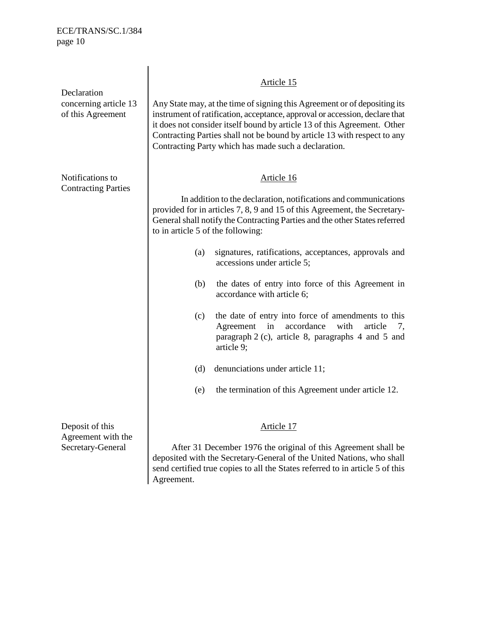| Declaration<br>concerning article 13<br>of this Agreement  | Article 15<br>Any State may, at the time of signing this Agreement or of depositing its<br>instrument of ratification, acceptance, approval or accession, declare that<br>it does not consider itself bound by article 13 of this Agreement. Other<br>Contracting Parties shall not be bound by article 13 with respect to any<br>Contracting Party which has made such a declaration.                                                                                                                                                                                                                                                                                                                                                                                      |
|------------------------------------------------------------|-----------------------------------------------------------------------------------------------------------------------------------------------------------------------------------------------------------------------------------------------------------------------------------------------------------------------------------------------------------------------------------------------------------------------------------------------------------------------------------------------------------------------------------------------------------------------------------------------------------------------------------------------------------------------------------------------------------------------------------------------------------------------------|
| Notifications to<br><b>Contracting Parties</b>             | Article 16<br>In addition to the declaration, notifications and communications<br>provided for in articles 7, 8, 9 and 15 of this Agreement, the Secretary-<br>General shall notify the Contracting Parties and the other States referred<br>to in article 5 of the following:<br>signatures, ratifications, acceptances, approvals and<br>(a)<br>accessions under article 5;<br>(b)<br>the dates of entry into force of this Agreement in<br>accordance with article 6;<br>the date of entry into force of amendments to this<br>(c)<br>in<br>accordance<br>Agreement<br>with<br>article<br>7,<br>paragraph 2 (c), article 8, paragraphs 4 and 5 and<br>article 9;<br>denunciations under article 11;<br>(d)<br>the termination of this Agreement under article 12.<br>(e) |
| Deposit of this<br>Agreement with the<br>Secretary-General | Article 17<br>After 31 December 1976 the original of this Agreement shall be<br>deposited with the Secretary-General of the United Nations, who shall<br>send certified true copies to all the States referred to in article 5 of this<br>Agreement.                                                                                                                                                                                                                                                                                                                                                                                                                                                                                                                        |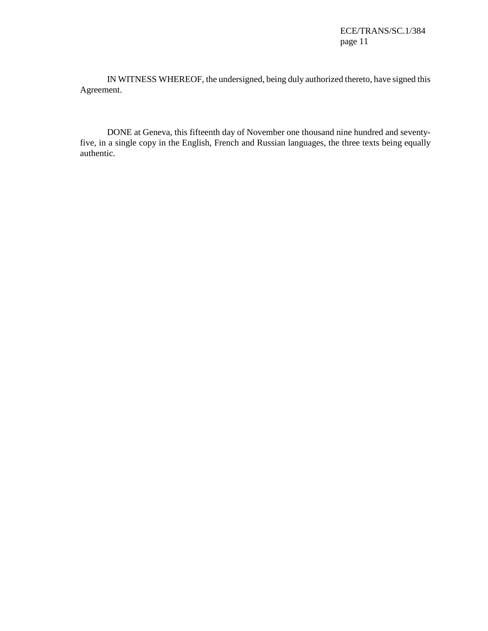IN WITNESS WHEREOF, the undersigned, being duly authorized thereto, have signed this Agreement.

DONE at Geneva, this fifteenth day of November one thousand nine hundred and seventyfive, in a single copy in the English, French and Russian languages, the three texts being equally authentic.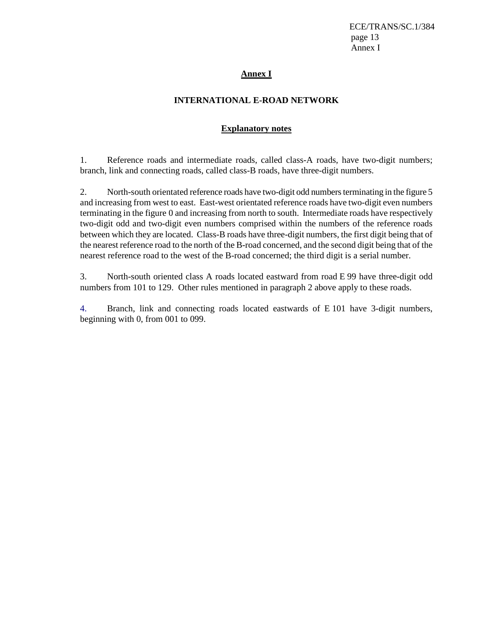ECE/TRANS/SC.1/384 page 13 Annex I

### **Annex I**

# **INTERNATIONAL E-ROAD NETWORK**

# **Explanatory notes**

1. Reference roads and intermediate roads, called class-A roads, have two-digit numbers; branch, link and connecting roads, called class-B roads, have three-digit numbers.

2. North-south orientated reference roads have two-digit odd numbers terminating in the figure 5 and increasing from west to east. East-west orientated reference roads have two-digit even numbers terminating in the figure 0 and increasing from north to south. Intermediate roads have respectively two-digit odd and two-digit even numbers comprised within the numbers of the reference roads between which they are located. Class-B roads have three-digit numbers, the first digit being that of the nearest reference road to the north of the B-road concerned, and the second digit being that of the nearest reference road to the west of the B-road concerned; the third digit is a serial number.

3. North-south oriented class A roads located eastward from road E 99 have three-digit odd numbers from 101 to 129. Other rules mentioned in paragraph 2 above apply to these roads.

4. Branch, link and connecting roads located eastwards of E 101 have 3-digit numbers, beginning with 0, from 001 to 099.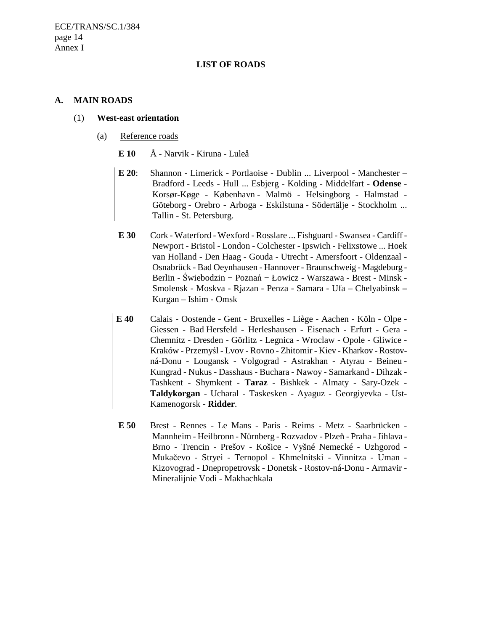#### **LIST OF ROADS**

#### **A. MAIN ROADS**

#### (1) **West-east orientation**

- (a) Reference roads
	- **E 10** Å Narvik Kiruna Luleå
	- **E 20**: Shannon Limerick Portlaoise Dublin ... Liverpool Manchester Bradford - Leeds - Hull ... Esbjerg - Kolding - Middelfart - **Odense** - Korsør**-**Køge - København - Malmö - Helsingborg - Halmstad - Göteborg - Orebro - Arboga - Eskilstuna - Södertälje - Stockholm ... Tallin - St. Petersburg.
	- **E 30** Cork Waterford Wexford Rosslare ... Fishguard Swansea Cardiff Newport - Bristol - London - Colchester - Ipswich - Felixstowe ... Hoek van Holland - Den Haag - Gouda - Utrecht - Amersfoort - Oldenzaal - Osnabrück - Bad Oeynhausen - Hannover - Braunschweig - Magdeburg - Berlin - Świebodzin − Poznań − Łowicz - Warszawa - Brest - Minsk - Smolensk - Moskva - Rjazan - Penza - Samara - Ufa – Chelyabinsk **–**  Kurgan – Ishim - Omsk
	- **E 40** Calais Oostende Gent Bruxelles Liège Aachen Köln Olpe Giessen - Bad Hersfeld - Herleshausen - Eisenach - Erfurt - Gera - Chemnitz - Dresden - Görlitz - Legnica - Wroclaw - Opole - Gliwice - Kraków - Przemyśl - Lvov - Rovno - Zhitomir - Kiev - Kharkov - Rostovná-Donu - Lougansk - Volgograd - Astrakhan - Atyrau - Beineu - Kungrad - Nukus - Dasshaus - Buchara - Nawoy - Samarkand - Dihzak - Tashkent - Shymkent - **Taraz** - Bishkek - Almaty - Sary**-**Ozek - **Taldykorgan** - Ucharal - Taskesken - Ayaguz - Georgiyevka - Ust**-**Kamenogorsk - **Ridder**.
	- **E 50** Brest Rennes Le Mans Paris Reims Metz Saarbrücken Mannheim - Heilbronn - Nürnberg - Rozvadov - Plzeň - Praha - Jihlava - Brno - Trencin - Prešov - Košice - Vyšné Nemecké - Uzhgorod - Mukačevo - Stryei - Ternopol - Khmelnitski - Vinnitza - Uman - Kizovograd - Dnepropetrovsk - Donetsk - Rostov-ná-Donu - Armavir - Mineralijnie Vodi - Makhachkala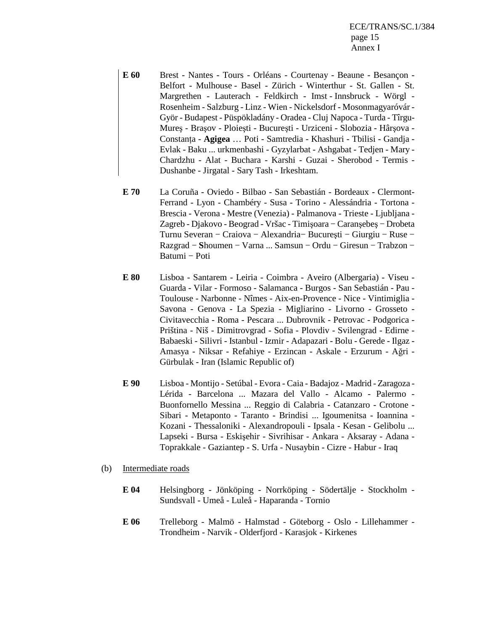ECE/TRANS/SC.1/384 page 15 Annex I

- **E 60** Brest Nantes Tours Orléans Courtenay Beaune Besançon Belfort - Mulhouse - Basel - Zürich - Winterthur - St. Gallen - St. Margrethen - Lauterach - Feldkirch - Imst - Innsbruck - Wörgl - Rosenheim - Salzburg - Linz - Wien - Nickelsdorf - Mosonmagyaróvár - Györ - Budapest - Püspökladány - Oradea - Cluj Napoca - Turda - Tîrgu-Mureş - Braşov - Ploieşti - Bucureşti - Urziceni - Slobozia - Hârşova - Constanța - Agigea ... Poti - Samtredia - Khashuri - Tbilisi - Gandja -Evlak - Baku ... urkmenbashi - Gyzylarbat - Ashgabat - Tedjen - Mary - Chardzhu - Alat - Buchara - Karshi - Guzai - Sherobod - Termis - Dushanbe - Jirgatal - Sary Tash - Irkeshtam.
- **E 70** La Coruña Oviedo Bilbao San Sebastián Bordeaux Clermont-Ferrand - Lyon - Chambéry - Susa - Torino - Alessándria - Tortona - Brescia - Verona - Mestre (Venezia) - Palmanova - Trieste - Ljubljana - Zagreb - Djakovo - Beograd - Vršac - Timişoara − Caranşebeş − Drobeta Turnu Severan − Craiova − Alexandria− Bucureşti − Giurgiu − Ruse − Razgrad − **S**houmen − Varna ... Samsun − Ordu − Giresun − Trabzon − Batumi − Poti
- **E 80** Lisboa Santarem Leiria Coimbra Aveiro (Albergaria) Viseu Guarda - Vilar - Formoso - Salamanca - Burgos - San Sebastián - Pau - Toulouse - Narbonne - Nîmes - Aix-en-Provence - Nice - Vintimiglia - Savona - Genova - La Spezia - Migliarino - Livorno - Grosseto - Civitavecchia - Roma - Pescara ... Dubrovnik - Petrovac - Podgorica - Priština - Niš - Dimitrovgrad - Sofia - Plovdiv - Svilengrad - Edirne - Babaeski - Silivri - Istanbul - Izmir - Adapazari - Bolu - Gerede - Ilgaz - Amasya - Niksar - Refahiye - Erzincan - Askale - Erzurum - Ağri - Gürbulak - Iran (Islamic Republic of)
- **E 90** Lisboa Montijo Setúbal Evora Caia Badajoz Madrid Zaragoza Lérida - Barcelona ... Mazara del Vallo - Alcamo - Palermo - Buonfornello Messina ... Reggio di Calabria - Catanzaro - Crotone - Sibari - Metaponto - Taranto - Brindisi ... Igoumenitsa - Ioannina - Kozani - Thessaloniki - Alexandropouli - Ipsala - Kesan - Gelibolu ... Lapseki - Bursa - Eskişehir - Sivrihisar - Ankara - Aksaray - Adana - Toprakkale - Gaziantep - S. Urfa - Nusaybin - Cizre - Habur - Iraq
- (b) Intermediate roads
	- **E 04** Helsingborg Jönköping Norrköping Södertälje Stockholm Sundsvall - Umeå - Luleå - Haparanda - Tornio
	- **E 06** Trelleborg Malmö Halmstad Göteborg Oslo Lillehammer Trondheim - Narvik - Olderfjord - Karasjok - Kirkenes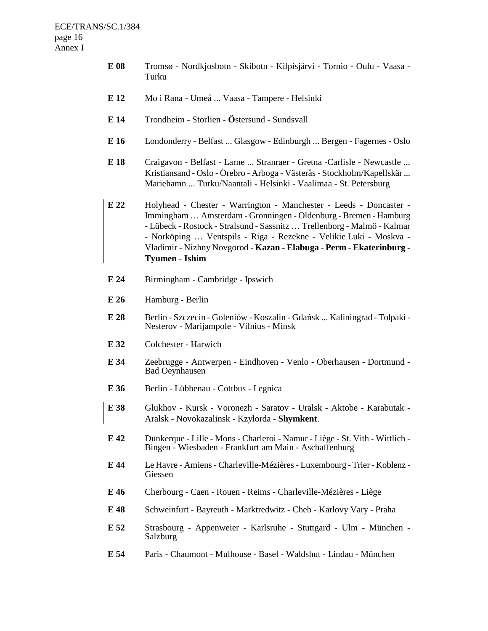- **E 08** Tromsø Nordkjosbotn Skibotn Kilpisjärvi Tornio Oulu Vaasa Turku
- **E 12** Mo i Rana Umeå ... Vaasa Tampere Helsinki
- **E 14** Trondheim Storlien **Ö**stersund Sundsvall
- **E 16** Londonderry Belfast ... Glasgow Edinburgh ... Bergen Fagernes Oslo
- **E 18** Craigavon Belfast Larne ... Stranraer Gretna -Carlisle Newcastle ... Kristiansand - Oslo - Örebro - Arboga - Västerås - Stockholm/Kapellskär ... Mariehamn ... Turku/Naantali - Helsinki - Vaalimaa - St. Petersburg
- **E 22** Holyhead Chester Warrington Manchester Leeds Doncaster Immingham … Amsterdam - Gronningen - Oldenburg - Bremen - Hamburg - Lübeck - Rostock - Stralsund - Sassnitz … Trellenborg - Malmö - Kalmar - Norköping … Ventspils - Riga - Rezekne - Velikie Luki - Moskva - Vladimir - Nizhny Novgorod - **Kazan - Elabuga** - **Perm** - **Ekaterinburg - Tyumen** - **Ishim**
- **E 24** Birmingham Cambridge Ipswich
- **E 26** Hamburg Berlin
- **E 28** Berlin Szczecin Goleniów Koszalin Gdańsk ... Kaliningrad Tolpaki Nesterov - Marijampole - Vilnius - Minsk
- **E 32** Colchester Harwich
- **E 34** Zeebrugge Antwerpen Eindhoven Venlo Oberhausen Dortmund Bad Oeynhausen
- **E 36** Berlin Lübbenau Cottbus Legnica
- **E 38** Glukhov Kursk Voronezh Saratov Uralsk Aktobe Karabutak Aralsk - Novokazalinsk - Kzylorda - **Shymkent**.
- **E 42** Dunkerque Lille Mons Charleroi Namur Liège St. Vith Wittlich Bingen - Wiesbaden - Frankfurt am Main - Aschaffenburg
- **E 44** Le Havre Amiens Charleville-Mézières Luxembourg Trier Koblenz Giessen
- **E 46** Cherbourg Caen Rouen Reims Charleville-Mézières Liège
- **E 48** Schweinfurt Bayreuth Marktredwitz Cheb Karlovy Vary Praha
- **E 52** Strasbourg Appenweier Karlsruhe Stuttgard Ulm München Salzburg
- **E 54** Paris Chaumont Mulhouse Basel Waldshut Lindau München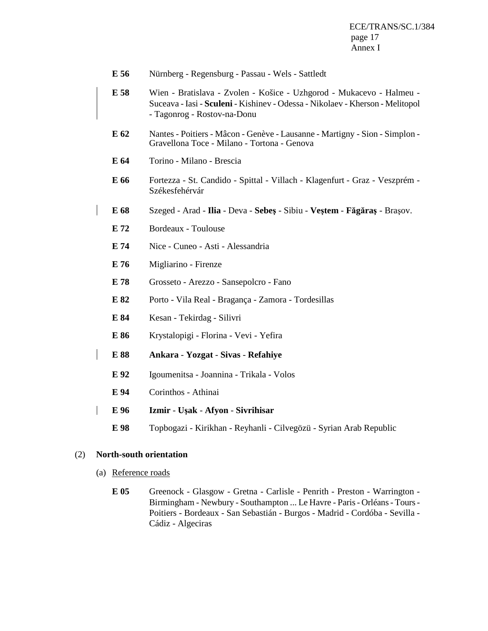- **E 56** Nürnberg Regensburg Passau Wels Sattledt
- **E 58** Wien Bratislava Zvolen Košice Uzhgorod Mukacevo Halmeu Suceava - Iasi - **Sculeni** - Kishinev - Odessa - Nikolaev - Kherson - Melitopol - Tagonrog - Rostov-na-Donu
- **E 62** Nantes Poitiers Mâcon Genève Lausanne Martigny Sion Simplon Gravellona Toce - Milano - Tortona - Genova
- **E 64** Torino Milano Brescia
- **E 66** Fortezza St. Candido Spittal Villach Klagenfurt Graz Veszprém Székesfehérvár
- **E 68** Szeged Arad **Ilia**  Deva - **Sebe**ş Sibiu **Ve**ş**tem F**ă**g**ă**ra**ş Braşov.
	- **E 72** Bordeaux Toulouse
	- **E 74** Nice Cuneo Asti Alessandria
	- **E 76** Migliarino Firenze
	- **E 78** Grosseto Arezzo Sansepolcro Fano
	- **E 82** Porto Vila Real Bragança Zamora Tordesillas
	- **E 84** Kesan Tekirdag Silivri
	- **E 86** Krystalopigi Florina Vevi Yefira
- **E 88 Ankara** - **Yozgat** - **Sivas** - **Refahiye** 
	- **E 92** Igoumenitsa Joannina Trikala Volos
	- **E 94** Corinthos Athinai
- **E 96 Izmir** - **U**ş**ak** - **Afyon** - **Sivrihisar** 
	- **E 98** Topbogazi Kirikhan Reyhanli Cilvegözü Syrian Arab Republic

#### (2) **North-south orientation**

- (a) Reference roads
	- **E 05** Greenock Glasgow Gretna Carlisle Penrith Preston Warrington Birmingham - Newbury - Southampton ... Le Havre - Paris - Orléans - Tours - Poitiers - Bordeaux - San Sebastián - Burgos - Madrid - Cordóba - Sevilla - Cádiz - Algeciras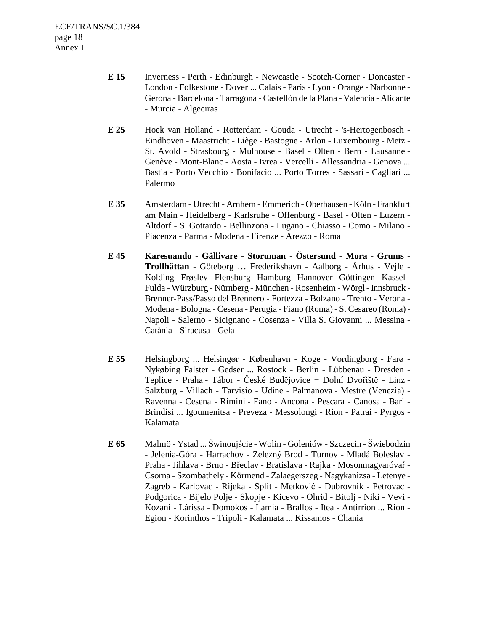- **E 15** Inverness Perth Edinburgh Newcastle Scotch-Corner Doncaster London - Folkestone - Dover ... Calais - Paris - Lyon - Orange - Narbonne - Gerona - Barcelona - Tarragona - Castellón de la Plana - Valencia - Alicante - Murcia - Algeciras
- **E 25** Hoek van Holland Rotterdam Gouda Utrecht 's-Hertogenbosch Eindhoven - Maastricht - Liège - Bastogne - Arlon - Luxembourg - Metz - St. Avold - Strasbourg - Mulhouse - Basel - Olten - Bern - Lausanne - Genève - Mont-Blanc - Aosta - Ivrea - Vercelli - Allessandria - Genova ... Bastia - Porto Vecchio - Bonifacio ... Porto Torres - Sassari - Cagliari ... Palermo
- **E 35** Amsterdam Utrecht Arnhem Emmerich Oberhausen Köln Frankfurt am Main - Heidelberg - Karlsruhe - Offenburg - Basel - Olten - Luzern - Altdorf - S. Gottardo - Bellinzona - Lugano - Chiasso - Como - Milano - Piacenza - Parma - Modena - Firenze - Arezzo - Roma
- **E 45 Karesuando** - **Gällivare** - **Storuman** - **Östersund** - **Mora** - **Grums Trollhättan** - Göteborg … Frederikshavn - Aalborg - Århus - Vejle - Kolding - Frøslev - Flensburg - Hamburg - Hannover - Göttingen - Kassel - Fulda - Würzburg - Nürnberg - München - Rosenheim - Wörgl - Innsbruck - Brenner-Pass/Passo del Brennero - Fortezza - Bolzano - Trento - Verona - Modena - Bologna - Cesena - Perugia - Fiano (Roma) - S. Cesareo (Roma) - Napoli - Salerno - Sicignano - Cosenza - Villa S. Giovanni ... Messina - Catània - Siracusa - Gela
- **E 55** Helsingborg ... Helsingør København Koge Vordingborg Farø Nykøbing Falster - Gedser ... Rostock - Berlin - Lübbenau - Dresden - Teplice - Praha - Tábor - České Budĕjovice − Dolní Dvořištĕ - Linz - Salzburg - Villach - Tarvisio - Udine - Palmanova - Mestre (Venezia) - Ravenna - Cesena - Rimini - Fano - Ancona - Pescara - Canosa - Bari - Brindisi ... Igoumenitsa - Preveza - Messolongi - Rion - Patrai - Pyrgos - Kalamata
- **E 65** Malmö Ystad ... Šwinoujście Wolin Goleniów Szczecin Šwiebodzin - Jelenia-Góra - Harrachov - Zelezný Brod - Turnov - Mladá Boleslav - Praha - Jihlava - Brno - Břeclav - Bratislava - Rajka - Mosonmagyaróvaŕ - Csorna - Szombathely - Körmend - Zalaegerszeg - Nagykanizsa - Letenye - Zagreb - Karlovac - Rijeka - Split - Metković - Dubrovnik - Petrovac - Podgorica - Bijelo Polje - Skopje - Kicevo - Ohrid - Bitolj - Niki - Vevi - Kozani - Lárissa - Domokos - Lamia - Brallos - Itea - Antirrion ... Rion - Egion - Korinthos - Tripoli - Kalamata ... Kissamos - Chania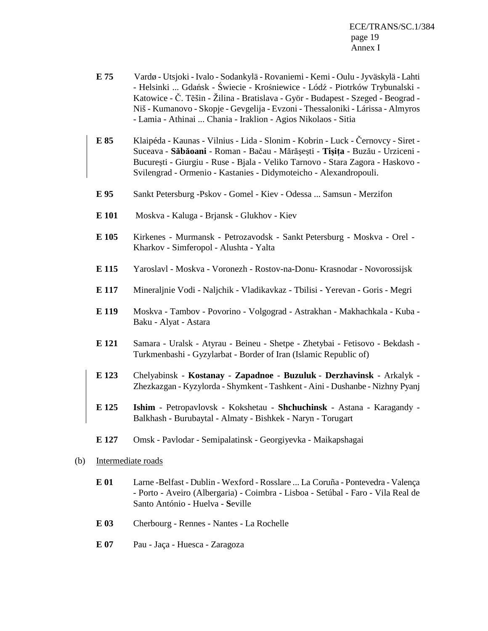ECE/TRANS/SC.1/384 page 19 Annex I

- **E 75** Vardø Utsjoki Ivalo Sodankylä Rovaniemi Kemi Oulu Jyväskylä Lahti - Helsinki ... Gdańsk - Świecie - Krośniewice - Lódź - Piotrków Trybunalski - Katowice - Č. Tĕšin - Žilina - Bratislava - Györ - Budapest - Szeged - Beograd - Niš - Kumanovo - Skopje - Gevgelija - Evzoni - Thessaloniki - Lárissa - Almyros - Lamia - Athinai ... Chania - Iraklion - Agios Nikolaos - Sitia
- **E 85** Klaipéda Kaunas Vilnius Lida Slonim Kobrin Luck Černovcy Siret Suceava - Săbăoani - Roman - Bačau - Mărășești - Tișița - Buzău - Urziceni -Bucureşti - Giurgiu - Ruse - Bjala - Veliko Tarnovo - Stara Zagora - Haskovo - Svilengrad - Ormenio - Kastanies - Didymoteicho *-* Alexandropouli.
- **E 95** Sankt Petersburg -Pskov Gomel Kiev Odessa ... Samsun Merzifon
- **E 101** Moskva Kaluga Brjansk Glukhov Kiev
- **E 105** Kirkenes Murmansk Petrozavodsk Sankt Petersburg Moskva Orel Kharkov - Simferopol - Alushta - Yalta
- **E 115** Yaroslavl Moskva Voronezh Rostov-na-Donu- Krasnodar Novorossijsk
- **E 117** Mineraljnie Vodi Naljchik Vladikavkaz Tbilisi Yerevan Goris Megri
- **E 119** Moskva Tambov Povorino Volgograd Astrakhan Makhachkala Kuba Baku - Alyat - Astara
- **E 121** Samara Uralsk Atyrau Beineu Shetpe Zhetybai Fetisovo Bekdash Turkmenbashi - Gyzylarbat - Border of Iran (Islamic Republic of)
- **E 123** Chelyabinsk **Kostanay Zapadnoe** - **Buzuluk** - **Derzhavinsk** Arkalyk Zhezkazgan - Kyzylorda - Shymkent - Tashkent - Aini - Dushanbe - Nizhny Pyanj
- **E 125 Ishim**  Petropavlovsk Kokshetau **Shchuchinsk**  Astana Karagandy Balkhash - Burubaytal - Almaty - Bishkek - Naryn - Torugart
- **E 127** Omsk Pavlodar Semipalatinsk Georgiyevka Maikapshagai
- (b) Intermediate roads
	- **E 01** Larne -Belfast Dublin Wexford Rosslare ... La Coruña Pontevedra Valença - Porto - Aveiro (Albergaria) - Coimbra - Lisboa - Setúbal - Faro - Vila Real de Santo António - Huelva - **S**eville
	- **E 03** Cherbourg Rennes Nantes La Rochelle
	- **E 07** Pau Jaça Huesca Zaragoza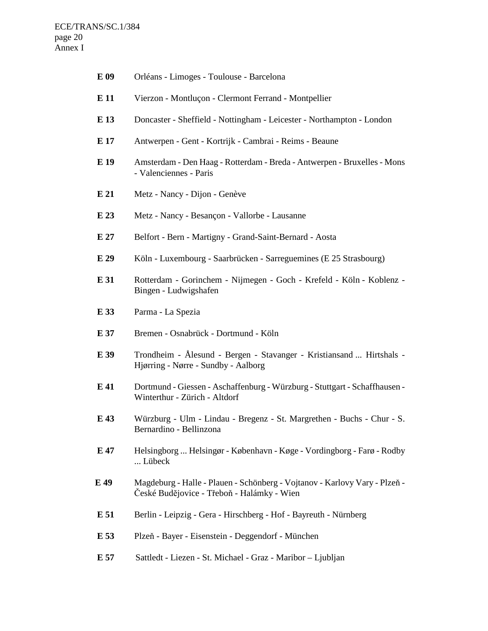| E 09 | Orléans - Limoges - Toulouse - Barcelona                                                                                 |
|------|--------------------------------------------------------------------------------------------------------------------------|
| E 11 | Vierzon - Montluçon - Clermont Ferrand - Montpellier                                                                     |
| E 13 | Doncaster - Sheffield - Nottingham - Leicester - Northampton - London                                                    |
| E 17 | Antwerpen - Gent - Kortrijk - Cambrai - Reims - Beaune                                                                   |
| E 19 | Amsterdam - Den Haag - Rotterdam - Breda - Antwerpen - Bruxelles - Mons<br>- Valenciennes - Paris                        |
| E21  | Metz - Nancy - Dijon - Genève                                                                                            |
| E 23 | Metz - Nancy - Besançon - Vallorbe - Lausanne                                                                            |
| E 27 | Belfort - Bern - Martigny - Grand-Saint-Bernard - Aosta                                                                  |
| E 29 | Köln - Luxembourg - Saarbrücken - Sarreguemines (E 25 Strasbourg)                                                        |
| E 31 | Rotterdam - Gorinchem - Nijmegen - Goch - Krefeld - Köln - Koblenz -<br>Bingen - Ludwigshafen                            |
| E 33 | Parma - La Spezia                                                                                                        |
| E 37 | Bremen - Osnabrück - Dortmund - Köln                                                                                     |
| E 39 | Trondheim - Ålesund - Bergen - Stavanger - Kristiansand  Hirtshals -<br>Hjørring - Nørre - Sundby - Aalborg              |
| E 41 | Dortmund - Giessen - Aschaffenburg - Würzburg - Stuttgart - Schaffhausen -<br>Winterthur - Zürich - Altdorf              |
| E 43 | Würzburg - Ulm - Lindau - Bregenz - St. Margrethen - Buchs - Chur - S.<br>Bernardino - Bellinzona                        |
| E 47 | Helsingborg  Helsingør - København - Køge - Vordingborg - Farø - Rodby<br>Lübeck                                         |
| E 49 | Magdeburg - Halle - Plauen - Schönberg - Vojtanov - Karlovy Vary - Plzeň -<br>České Budějovice - Třeboň - Halámky - Wien |
| E 51 | Berlin - Leipzig - Gera - Hirschberg - Hof - Bayreuth - Nürnberg                                                         |
| E 53 | Plzeň - Bayer - Eisenstein - Deggendorf - München                                                                        |
| E 57 | Sattledt - Liezen - St. Michael - Graz - Maribor - Ljubljan                                                              |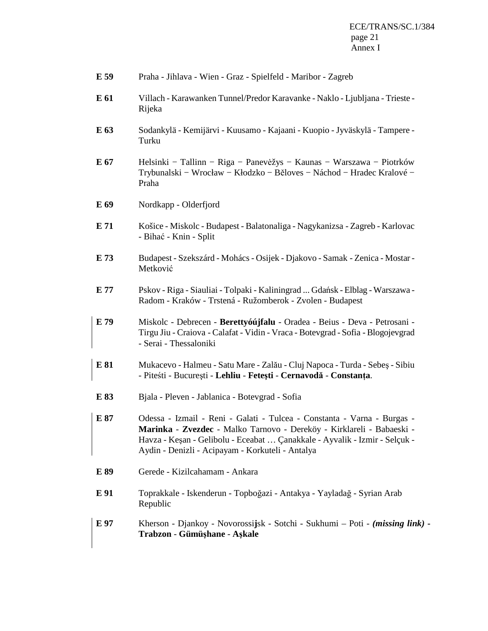| Praha - Jihlava - Wien - Graz - Spielfeld - Maribor - Zagreb | E 59 |  |  |  |  |
|--------------------------------------------------------------|------|--|--|--|--|
|--------------------------------------------------------------|------|--|--|--|--|

- **E 61** Villach Karawanken Tunnel/Predor Karavanke Naklo Ljubljana Trieste Rijeka
- **E 63** Sodankylä Kemijärvi Kuusamo Kajaani Kuopio Jyväskylä Tampere Turku
- **E 67** Helsinki − Tallinn − Riga − Panevėžys − Kaunas − Warszawa − Piotrków Trybunalski − Wrocław − Kłodzko − Běloves − Náchod − Hradec Kralové − Praha
- **E 69** Nordkapp Olderfjord
- **E 71** Košice Miskolc Budapest Balatonaliga Nagykanizsa Zagreb Karlovac - Bihać - Knin - Split
- **E 73** Budapest Szekszárd Mohács Osijek Djakovo Samak Zenica Mostar Metković
- **E 77** Pskov Riga Siauliai Tolpaki Kaliningrad ... Gdańsk Elblag Warszawa Radom - Kraków - Trstená - Ružomberok - Zvolen - Budapest
- **E 79** Miskolc Debrecen - **Berettyóújfalu**  Oradea Beius Deva Petrosani Tirgu Jiu - Craiova - Calafat - Vidin - Vraca - Botevgrad - Sofia - Blogojevgrad - Serai - Thessaloniki
- **E 81** Mukacevo Halmeu Satu Mare Zalău Cluj Napoca Turda Sebeş Sibiu - Piteśti - București - Lehliu - Fetești - Cernavodă - Constanța.
- **E 83** Bjala Pleven Jablanica Botevgrad Sofia

**E 87** Odessa - Izmail - Reni - Galati - Tulcea - Constanta - Varna - Burgas - **Marinka** - **Zvezdec** - Malko Tarnovo - Dereköy - Kirklareli - Babaeski - Havza - Keşan - Gelibolu - Eceabat … Çanakkale - Ayvalik - Izmir - Selçuk - Aydin - Denizli - Acipayam - Korkuteli - Antalya

- **E 89** Gerede Kizilcahamam Ankara
- **E 91** Toprakkale Iskenderun Topboğazi Antakya Yayladağ Syrian Arab Republic
- **E 97** Kherson Djankoy Novorossi**j**sk Sotchi Sukhumi Poti *(missing link)* **- Trabzon** - **Gümü**ş**hane** - **A**ş**kale**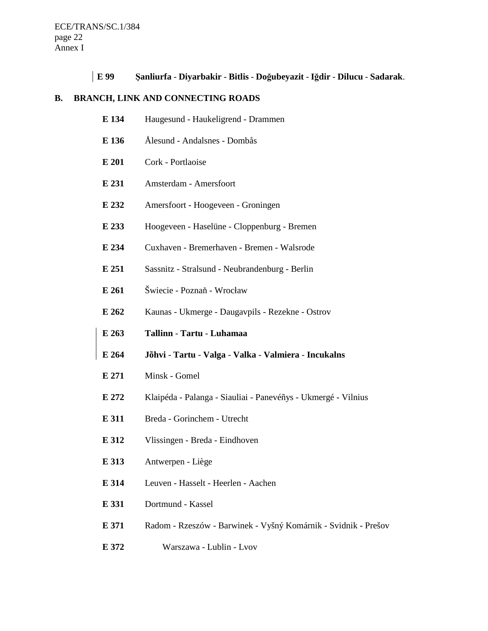**E 99** Ş**anliurfa** - **Diyarbakir** - **Bitlis** - **Do**ğ**ubeyazit** - **I**ğ**dir** - **Dilucu** - **Sadarak**.

# **B. BRANCH, LINK AND CONNECTING ROADS**

| E 134 | Haugesund - Haukeligrend - Drammen                             |
|-------|----------------------------------------------------------------|
| E 136 | Ålesund - Andalsnes - Dombås                                   |
| E 201 | Cork - Portlaoise                                              |
| E 231 | Amsterdam - Amersfoort                                         |
| E 232 | Amersfoort - Hoogeveen - Groningen                             |
| E 233 | Hoogeveen - Haselüne - Cloppenburg - Bremen                    |
| E 234 | Cuxhaven - Bremerhaven - Bremen - Walsrode                     |
| E 251 | Sassnitz - Stralsund - Neubrandenburg - Berlin                 |
| E 261 | Šwiecie - Poznaň - Wrocław                                     |
| E 262 | Kaunas - Ukmerge - Daugavpils - Rezekne - Ostrov               |
|       |                                                                |
| E 263 | Tallinn - Tartu - Luhamaa                                      |
| E 264 | Jõhvi - Tartu - Valga - Valka - Valmiera - Incukalns           |
| E 271 | Minsk - Gomel                                                  |
| E 272 | Klaipéda - Palanga - Siauliai - Panevéñys - Ukmergé - Vilnius  |
| E 311 | Breda - Gorinchem - Utrecht                                    |
| E 312 | Vlissingen - Breda - Eindhoven                                 |
| E 313 | Antwerpen - Liège                                              |
| E 314 | Leuven - Hasselt - Heerlen - Aachen                            |
| E 331 | Dortmund - Kassel                                              |
| E 371 | Radom - Rzeszów - Barwinek - Vyšný Komárnik - Svidnik - Prešov |

**E 372** Warszawa - Lublin - Lvov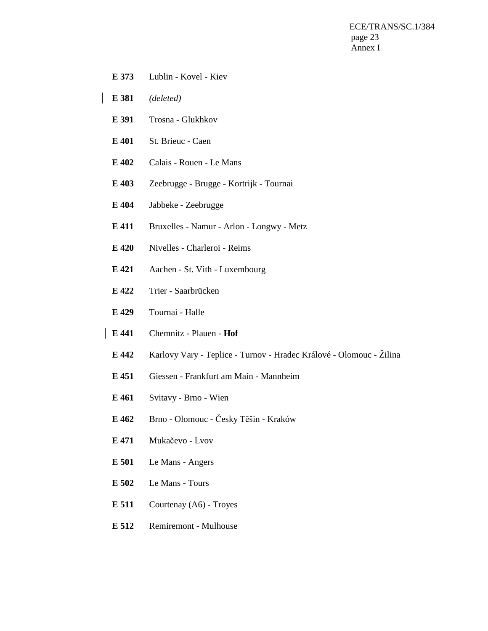ECE/TRANS/SC.1/384 page 23 Annex I

- **E 373** Lublin Kovel Kiev
- **E 381** *(deleted)*
- **E 391** Trosna Glukhkov
- **E 401** St. Brieuc Caen
- **E 402** Calais Rouen Le Mans
- **E 403** Zeebrugge Brugge Kortrijk Tournai
- **E 404** Jabbeke Zeebrugge
- **E 411** Bruxelles Namur Arlon Longwy Metz
- **E 420** Nivelles Charleroi Reims
- **E 421** Aachen St. Vith Luxembourg
- **E 422** Trier Saarbrücken
- **E 429** Tournai Halle
- **E 441** Chemnitz Plauen - **Hof**
- **E 442** Karlovy Vary Teplice Turnov Hradec Králové Olomouc Žilina
- **E 451** Giessen Frankfurt am Main Mannheim
- **E 461** Svitavy Brno Wien
- **E 462** Brno Olomouc Česky Tĕšin Kraków
- **E 471** Mukačevo Lvov
- **E 501** Le Mans Angers
- **E 502** Le Mans Tours
- **E 511** Courtenay (A6) Troyes
- **E 512** Remiremont Mulhouse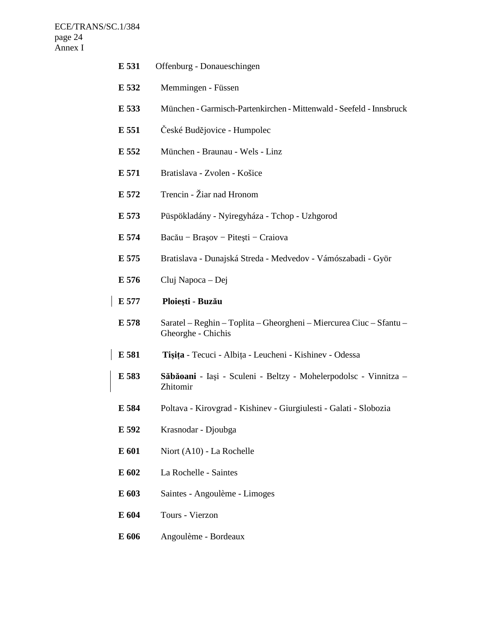$\mathbf{I}$ 

| E 531 | Offenburg - Donaueschingen                                                                |
|-------|-------------------------------------------------------------------------------------------|
| E 532 | Memmingen - Füssen                                                                        |
| E 533 | München - Garmisch-Partenkirchen - Mittenwald - Seefeld - Innsbruck                       |
| E 551 | České Budějovice - Humpolec                                                               |
| E 552 | München - Braunau - Wels - Linz                                                           |
| E 571 | Bratislava - Zvolen - Košice                                                              |
| E 572 | Trencin - Žiar nad Hronom                                                                 |
| E 573 | Püspökladány - Nyiregyháza - Tchop - Uzhgorod                                             |
| E 574 | Bacău – Brașov – Pitești – Craiova                                                        |
| E 575 | Bratislava - Dunajská Streda - Medvedov - Vámószabadi - Györ                              |
| E 576 | Cluj Napoca – Dej                                                                         |
| E 577 | Ploiești - Buzău                                                                          |
| E 578 | Saratel – Reghin – Toplita – Gheorgheni – Miercurea Ciuc – Sfantu –<br>Gheorghe - Chichis |
| E 581 | Tișița - Tecuci - Albița - Leucheni - Kishinev - Odessa                                   |
| E 583 | Săbăoani - Iași - Sculeni - Beltzy - Mohelerpodolsc - Vinnitza -<br>Zhitomir              |
| E 584 | Poltava - Kirovgrad - Kishinev - Giurgiulesti - Galati - Slobozia                         |
| E 592 | Krasnodar - Djoubga                                                                       |
| E 601 | Niort (A10) - La Rochelle                                                                 |
| E 602 | La Rochelle - Saintes                                                                     |
| E 603 | Saintes - Angoulème - Limoges                                                             |
| E 604 | Tours - Vierzon                                                                           |
| E 606 | Angoulème - Bordeaux                                                                      |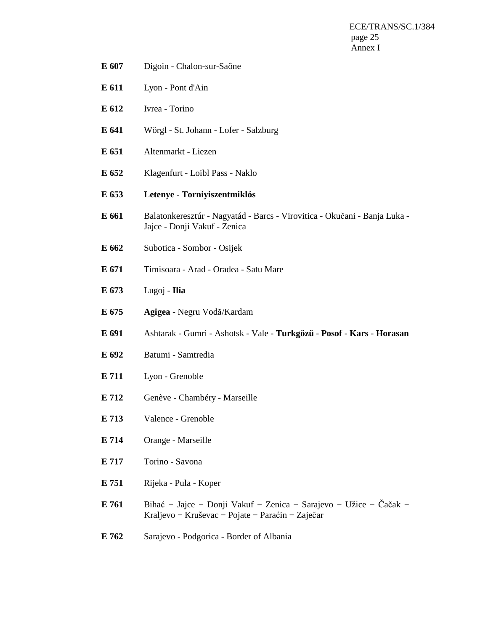ECE/TRANS/SC.1/384 page 25 Annex I

- **E 607** Digoin Chalon-sur-Saône
- **E 611** Lyon Pont d'Ain
- **E 612** Ivrea Torino
- **E 641** Wörgl St. Johann Lofer Salzburg
- **E 651** Altenmarkt Liezen
- **E 652** Klagenfurt Loibl Pass Naklo
- **E 653 Letenye** - **Torniyiszentmiklós**
- **E 661** Balatonkeresztúr Nagyatád Barcs Virovitica Okučani Banja Luka Jajce - Donji Vakuf - Zenica
- **E 662** Subotica Sombor Osijek
- **E 671** Timisoara Arad Oradea Satu Mare
- **E 673** Lugoj **Ilia**
- **E 675 Agigea** Negru Vodă/Kardam
- **E 691** Ashtarak Gumri Ashotsk Vale **Turkgözü Posof** - **Kars** - **Horasan**
- **E 692** Batumi Samtredia
- **E 711** Lyon Grenoble
- **E 712** Genève Chambéry Marseille
- **E 713** Valence Grenoble
- **E 714** Orange Marseille
- **E 717** Torino Savona
- **E 751** Rijeka Pula Koper
- **E 761** Bihać − Jajce − Donji Vakuf − Zenica − Sarajevo − Užice − Čačak − Kraljevo − Kruševac − Pojate − Paraćin − Zaječar
- **E 762** Sarajevo Podgorica Border of Albania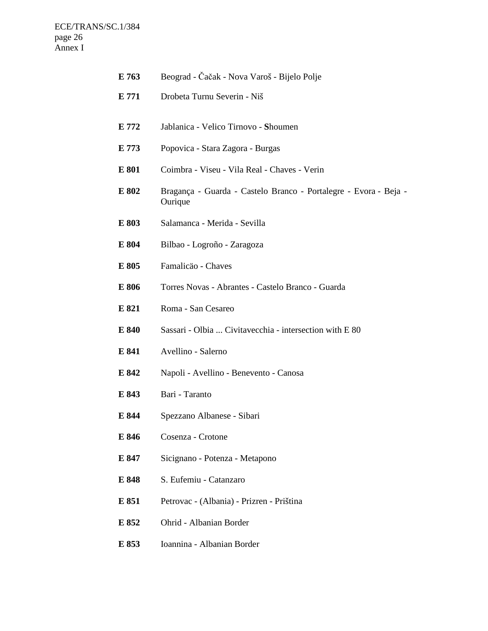| E 763 | Beograd - Čačak - Nova Varoš - Bijelo Polje                                 |
|-------|-----------------------------------------------------------------------------|
| E 771 | Drobeta Turnu Severin - Niš                                                 |
| E 772 | Jablanica - Velico Tirnovo - Shoumen                                        |
| E 773 | Popovica - Stara Zagora - Burgas                                            |
| E 801 | Coimbra - Viseu - Vila Real - Chaves - Verin                                |
| E 802 | Bragança - Guarda - Castelo Branco - Portalegre - Evora - Beja -<br>Ourique |
| E 803 | Salamanca - Merida - Sevilla                                                |
| E 804 | Bilbao - Logroño - Zaragoza                                                 |
| E 805 | Famalicäo - Chaves                                                          |
| E 806 | Torres Novas - Abrantes - Castelo Branco - Guarda                           |
| E 821 | Roma - San Cesareo                                                          |
| E 840 | Sassari - Olbia  Civitavecchia - intersection with E 80                     |
| E 841 | Avellino - Salerno                                                          |
| E 842 | Napoli - Avellino - Benevento - Canosa                                      |
| E 843 | Bari - Taranto                                                              |
| E 844 | Spezzano Albanese - Sibari                                                  |
| E 846 | Cosenza - Crotone                                                           |
| E 847 | Sicignano - Potenza - Metapono                                              |
| E 848 | S. Eufemiu - Catanzaro                                                      |
| E 851 | Petrovac - (Albania) - Prizren - Priština                                   |
| E 852 | Ohrid - Albanian Border                                                     |
| E 853 | Ioannina - Albanian Border                                                  |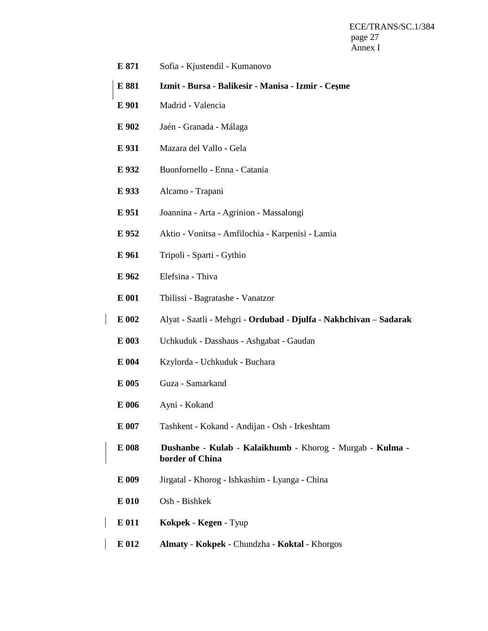ECE/TRANS/SC.1/384 page 27 Annex I

- **E 871** Sofia Kjustendil Kumanovo
- **E 881 Izmit Bursa Balikesir Manisa Izmir Ce**ş**me**
- **E 901** Madrid Valencia
- **E 902** Jaén Granada Málaga
- **E 931** Mazara del Vallo Gela
- **E 932** Buonfornello Enna Catania
- **E 933** Alcamo Trapani
- **E 951** Joannina Arta Agrinion Massalongi
- **E 952** Aktio Vonitsa Amfilochia Karpenisi Lamia
- **E 961** Tripoli Sparti Gythio
- **E 962** Elefsina Thiva
- **E 001** Tbilissi Bagratashe Vanatzor
- **E 002** Alyat Saatli Mehgri - **Ordubad** - **Djulfa** - **Nakhchivan** – **Sadarak** 
	- **E 003** Uchkuduk Dasshaus Ashgabat Gaudan
	- **E 004** Kzylorda Uchkuduk Buchara
	- **E 005** Guza Samarkand
	- **E 006** Ayni Kokand
	- **E 007** Tashkent Kokand Andijan Osh Irkeshtam
- **E 008 Dushanbe** - **Kulab** - **Kalaikhumb** Khorog Murgab **Kulma border of China** 
	- **E 009** Jirgatal Khorog Ishkashim Lyanga China
- **E 010** Osh Bishkek
- **E 011 Kokpek** - **Kegen** Tyup
- **E 012 Almaty** - **Kokpek** Chundzha **Koktal**  Khorgos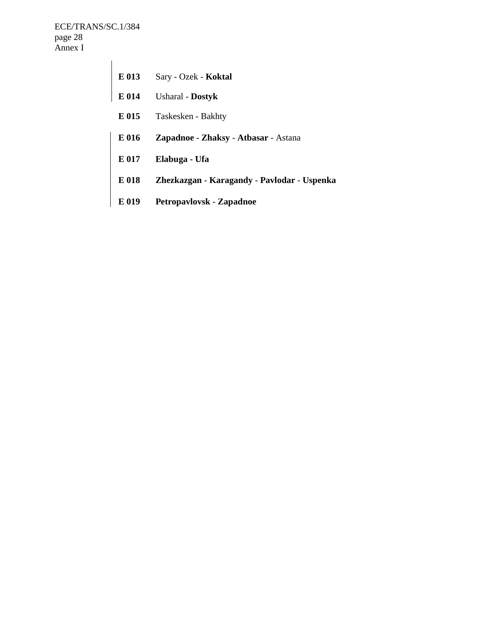ECE/TRANS/SC.1/384 page 28 Annex I

| E 013 | Sary - Ozek - Koktal                        |
|-------|---------------------------------------------|
| E 014 | <b>Usharal</b> - Dostyk                     |
| E 015 | Taskesken - Bakhty                          |
| E 016 | <b>Zapadnoe - Zhaksy - Atbasar - Astana</b> |
| E 017 | Elabuga - Ufa                               |
| E 018 | Zhezkazgan - Karagandy - Pavlodar - Uspenka |
| E 019 | Petropavlovsk - Zapadnoe                    |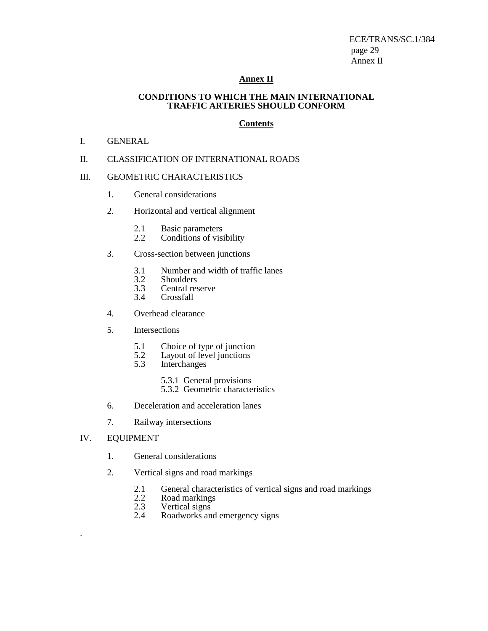ECE/TRANS/SC.1/384 page 29 Annex II

### **Annex II**

#### **CONDITIONS TO WHICH THE MAIN INTERNATIONAL TRAFFIC ARTERIES SHOULD CONFORM**

#### **Contents**

#### I. GENERAL

### II. CLASSIFICATION OF INTERNATIONAL ROADS

### III. GEOMETRIC CHARACTERISTICS

- 1. General considerations
- 2. Horizontal and vertical alignment
	- 2.1 Basic parameters<br>2.2 Conditions of visi
	- Conditions of visibility
- 3. Cross-section between junctions
	- 3.1 Number and width of traffic lanes<br>3.2 Shoulders
	- 3.2 Shoulders<br>3.3 Central res
	- 3.3 Central reserve<br>3.4 Crossfall
	- Crossfall
- 4. Overhead clearance
- 5. Intersections
	- 5.1 Choice of type of junction
	- 5.2 Layout of level junctions
	- 5.3 Interchanges
		- 5.3.1 General provisions
		- 5.3.2 Geometric characteristics
- 6. Deceleration and acceleration lanes
- 7. Railway intersections
- IV. EQUIPMENT

.

- 1. General considerations
- 2. Vertical signs and road markings
	- 2.1 General characteristics of vertical signs and road markings<br>2.2 Road markings
	- 2.2 Road markings<br>2.3 Vertical signs
	- 2.3 Vertical signs<br>2.4 Roadworks and
	- Roadworks and emergency signs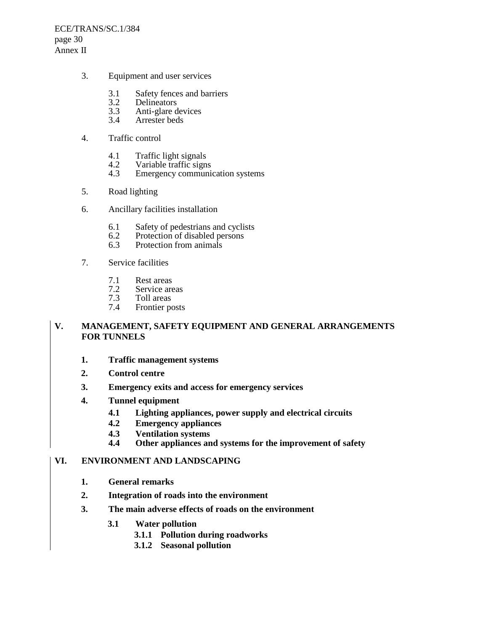ECE/TRANS/SC.1/384 page 30 Annex II

- 3. Equipment and user services
	- 3.1 Safety fences and barriers<br>3.2 Delineators
	- 3.2 Delineators<br>3.3 Anti-glare d
	- 3.3 Anti-glare devices<br>3.4 Arrester beds
	- Arrester beds
- 4. Traffic control
	- 4.1 Traffic light signals<br>4.2 Variable traffic sign
	- Variable traffic signs
	- 4.3 Emergency communication systems
- 5. Road lighting
- 6. Ancillary facilities installation
	- 6.1 Safety of pedestrians and cyclists<br>6.2 Protection of disabled persons
	- 6.2 Protection of disabled persons<br>6.3 Protection from animals
	- Protection from animals
- 7. Service facilities
	- 7.1 Rest areas<br>7.2 Service are
	- 7.2 Service areas<br>7.3 Toll areas
	- 7.3 Toll areas<br>7.4 Frontier po
	- Frontier posts

# **V. MANAGEMENT, SAFETY EQUIPMENT AND GENERAL ARRANGEMENTS FOR TUNNELS**

- **1. Traffic management systems**
- **2. Control centre**
- **3. Emergency exits and access for emergency services**
- **4. Tunnel equipment** 
	- **4.1 Lighting appliances, power supply and electrical circuits**
	- **4.2 Emergency appliances**
	- **4.3 Ventilation systems**
	- Other appliances and systems for the improvement of safety

# **VI. ENVIRONMENT AND LANDSCAPING**

- **1. General remarks**
- **2. Integration of roads into the environment**
- **3. The main adverse effects of roads on the environment** 
	- **3.1 Water pollution** 
		- **3.1.1 Pollution during roadworks**
		- **3.1.2 Seasonal pollution**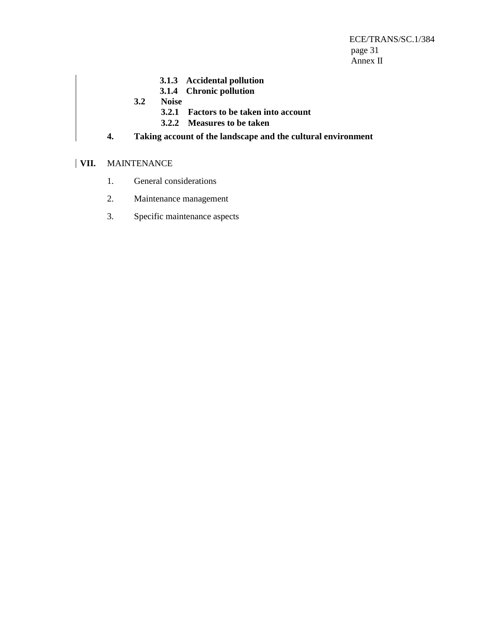ECE/TRANS/SC.1/384 page 31 Annex II

- **3.1.3 Accidental pollution**
- **3.1.4 Chronic pollution**
- **3.2 Noise** 
	- **3.2.1 Factors to be taken into account**
	- **3.2.2 Measures to be taken**
- **4. Taking account of the landscape and the cultural environment**

# **VII.** MAINTENANCE

- 1. General considerations
- 2. Maintenance management
- 3. Specific maintenance aspects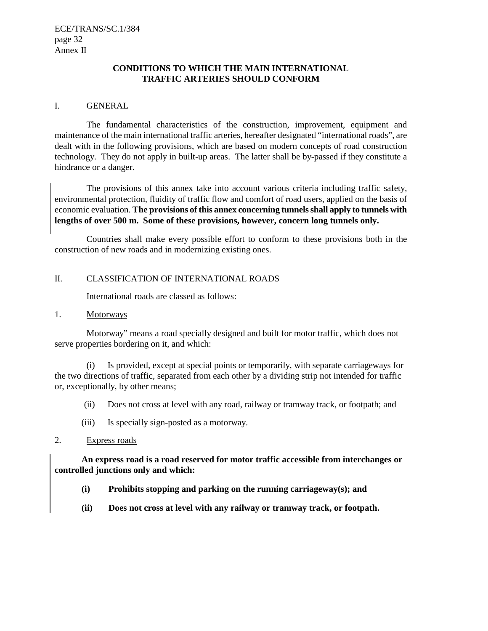# **CONDITIONS TO WHICH THE MAIN INTERNATIONAL TRAFFIC ARTERIES SHOULD CONFORM**

#### I. GENERAL

The fundamental characteristics of the construction, improvement, equipment and maintenance of the main international traffic arteries, hereafter designated "international roads", are dealt with in the following provisions, which are based on modern concepts of road construction technology. They do not apply in built-up areas. The latter shall be by-passed if they constitute a hindrance or a danger.

The provisions of this annex take into account various criteria including traffic safety, environmental protection, fluidity of traffic flow and comfort of road users, applied on the basis of economic evaluation. **The provisions of this annex concerning tunnels shall apply to tunnels with lengths of over 500 m. Some of these provisions, however, concern long tunnels only.** 

Countries shall make every possible effort to conform to these provisions both in the construction of new roads and in modernizing existing ones.

### II. CLASSIFICATION OF INTERNATIONAL ROADS

International roads are classed as follows:

#### 1. Motorways

Motorway" means a road specially designed and built for motor traffic, which does not serve properties bordering on it, and which:

(i) Is provided, except at special points or temporarily, with separate carriageways for the two directions of traffic, separated from each other by a dividing strip not intended for traffic or, exceptionally, by other means;

- (ii) Does not cross at level with any road, railway or tramway track, or footpath; and
- (iii) Is specially sign-posted as a motorway.

#### 2. Express roads

**An express road is a road reserved for motor traffic accessible from interchanges or controlled junctions only and which:** 

- **(i) Prohibits stopping and parking on the running carriageway(s); and**
- **(ii) Does not cross at level with any railway or tramway track, or footpath.**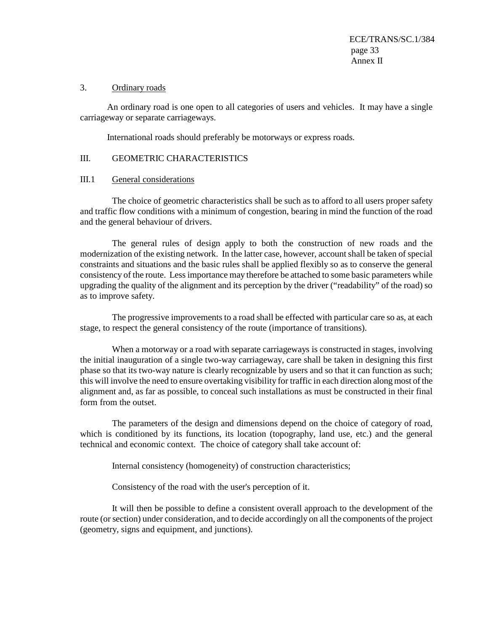#### 3. Ordinary roads

An ordinary road is one open to all categories of users and vehicles. It may have a single carriageway or separate carriageways.

International roads should preferably be motorways or express roads.

### III. GEOMETRIC CHARACTERISTICS

#### III.1 General considerations

The choice of geometric characteristics shall be such as to afford to all users proper safety and traffic flow conditions with a minimum of congestion, bearing in mind the function of the road and the general behaviour of drivers.

The general rules of design apply to both the construction of new roads and the modernization of the existing network. In the latter case, however, account shall be taken of special constraints and situations and the basic rules shall be applied flexibly so as to conserve the general consistency of the route. Less importance may therefore be attached to some basic parameters while upgrading the quality of the alignment and its perception by the driver ("readability" of the road) so as to improve safety.

The progressive improvements to a road shall be effected with particular care so as, at each stage, to respect the general consistency of the route (importance of transitions).

When a motorway or a road with separate carriageways is constructed in stages, involving the initial inauguration of a single two-way carriageway, care shall be taken in designing this first phase so that its two-way nature is clearly recognizable by users and so that it can function as such; this will involve the need to ensure overtaking visibility for traffic in each direction along most of the alignment and, as far as possible, to conceal such installations as must be constructed in their final form from the outset.

The parameters of the design and dimensions depend on the choice of category of road, which is conditioned by its functions, its location (topography, land use, etc.) and the general technical and economic context. The choice of category shall take account of:

Internal consistency (homogeneity) of construction characteristics;

Consistency of the road with the user's perception of it.

It will then be possible to define a consistent overall approach to the development of the route (or section) under consideration, and to decide accordingly on all the components of the project (geometry, signs and equipment, and junctions).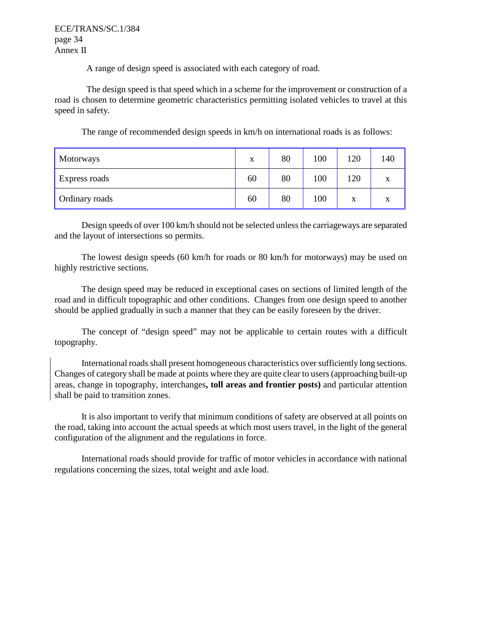ECE/TRANS/SC.1/384 page 34 Annex II

A range of design speed is associated with each category of road.

The design speed is that speed which in a scheme for the improvement or construction of a road is chosen to determine geometric characteristics permitting isolated vehicles to travel at this speed in safety.

The range of recommended design speeds in km/h on international roads is as follows:

| Motorways      | X  | 80 | 100 | 120 | 140 |
|----------------|----|----|-----|-----|-----|
| Express roads  | 60 | 80 | 100 | 120 | X   |
| Ordinary roads | 60 | 80 | 100 | X   | X   |

Design speeds of over 100 km/h should not be selected unless the carriageways are separated and the layout of intersections so permits.

The lowest design speeds (60 km/h for roads or 80 km/h for motorways) may be used on highly restrictive sections.

The design speed may be reduced in exceptional cases on sections of limited length of the road and in difficult topographic and other conditions. Changes from one design speed to another should be applied gradually in such a manner that they can be easily foreseen by the driver.

The concept of "design speed" may not be applicable to certain routes with a difficult topography.

International roads shall present homogeneous characteristics over sufficiently long sections. Changes of category shall be made at points where they are quite clear to users (approaching built-up areas, change in topography, interchanges**, toll areas and frontier posts)** and particular attention shall be paid to transition zones.

It is also important to verify that minimum conditions of safety are observed at all points on the road, taking into account the actual speeds at which most users travel, in the light of the general configuration of the alignment and the regulations in force.

International roads should provide for traffic of motor vehicles in accordance with national regulations concerning the sizes, total weight and axle load.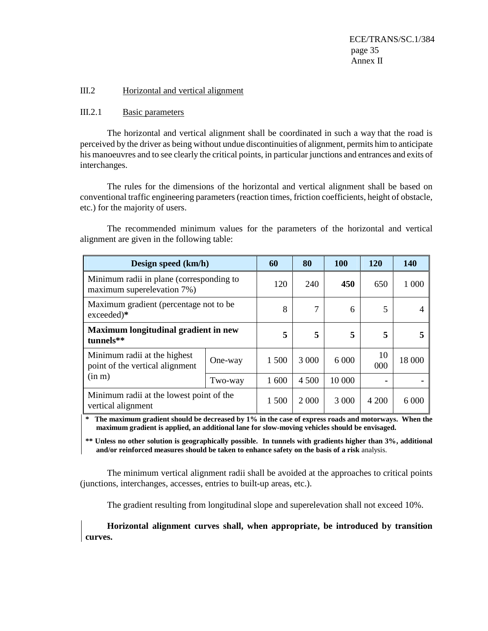ECE/TRANS/SC.1/384 page 35 Annex II

#### III.2 Horizontal and vertical alignment

#### III.2.1 Basic parameters

The horizontal and vertical alignment shall be coordinated in such a way that the road is perceived by the driver as being without undue discontinuities of alignment, permits him to anticipate his manoeuvres and to see clearly the critical points, in particular junctions and entrances and exits of interchanges.

The rules for the dimensions of the horizontal and vertical alignment shall be based on conventional traffic engineering parameters (reaction times, friction coefficients, height of obstacle, etc.) for the majority of users.

The recommended minimum values for the parameters of the horizontal and vertical alignment are given in the following table:

| Design speed (km/h)                                                    |         | 60    | 80      | <b>100</b> | 120       | 140     |
|------------------------------------------------------------------------|---------|-------|---------|------------|-----------|---------|
| Minimum radii in plane (corresponding to<br>maximum superelevation 7%) |         | 120   | 240     | 450        | 650       | 1 000   |
| Maximum gradient (percentage not to be<br>exceeded)*                   |         | 8     | 7       | 6          | 5         |         |
| Maximum longitudinal gradient in new<br>tunnels**                      |         | 5     | 5       | 5          | 5         | 5       |
| Minimum radii at the highest<br>point of the vertical alignment        | One-way | 1 500 | 3 0 0 0 | 6 0 0 0    | 10<br>000 | 18 000  |
| (in m)                                                                 | Two-way | 1 600 | 4 500   | 10 000     |           |         |
| Minimum radii at the lowest point of the<br>vertical alignment         |         | 1 500 | 2 0 0 0 | 3 0 0 0    | 4 200     | 6 0 0 0 |

The maximum gradient should be decreased by 1% in the case of express roads and motorways. When the **maximum gradient is applied, an additional lane for slow-moving vehicles should be envisaged.** 

**\*\* Unless no other solution is geographically possible. In tunnels with gradients higher than 3%, additional and/or reinforced measures should be taken to enhance safety on the basis of a risk** analysis.

The minimum vertical alignment radii shall be avoided at the approaches to critical points (junctions, interchanges, accesses, entries to built-up areas, etc.).

The gradient resulting from longitudinal slope and superelevation shall not exceed 10%.

**Horizontal alignment curves shall, when appropriate, be introduced by transition curves.**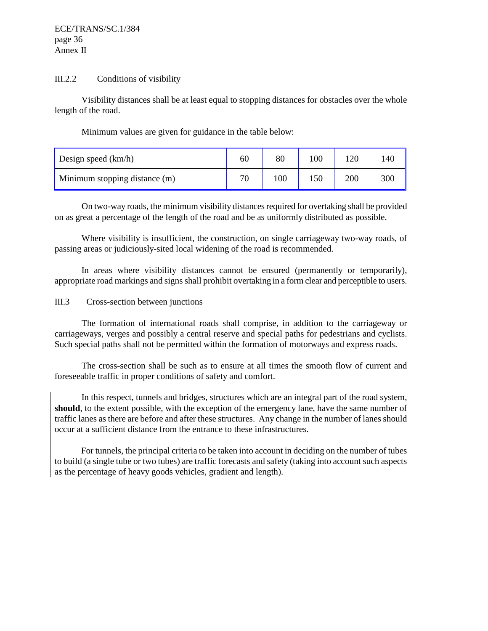### III.2.2 Conditions of visibility

Visibility distances shall be at least equal to stopping distances for obstacles over the whole length of the road.

Minimum values are given for guidance in the table below:

| Design speed (km/h)           | 60 | 80  | .00 |     | l 40 |
|-------------------------------|----|-----|-----|-----|------|
| Minimum stopping distance (m) | ΠC | 100 |     | 200 | 300  |

On two-way roads, the minimum visibility distances required for overtaking shall be provided on as great a percentage of the length of the road and be as uniformly distributed as possible.

Where visibility is insufficient, the construction, on single carriageway two-way roads, of passing areas or judiciously-sited local widening of the road is recommended.

In areas where visibility distances cannot be ensured (permanently or temporarily), appropriate road markings and signs shall prohibit overtaking in a form clear and perceptible to users.

### III.3 Cross-section between junctions

The formation of international roads shall comprise, in addition to the carriageway or carriageways, verges and possibly a central reserve and special paths for pedestrians and cyclists. Such special paths shall not be permitted within the formation of motorways and express roads.

The cross-section shall be such as to ensure at all times the smooth flow of current and foreseeable traffic in proper conditions of safety and comfort.

In this respect, tunnels and bridges, structures which are an integral part of the road system, **should**, to the extent possible, with the exception of the emergency lane, have the same number of traffic lanes as there are before and after these structures. Any change in the number of lanes should occur at a sufficient distance from the entrance to these infrastructures.

For tunnels, the principal criteria to be taken into account in deciding on the number of tubes to build (a single tube or two tubes) are traffic forecasts and safety (taking into account such aspects as the percentage of heavy goods vehicles, gradient and length).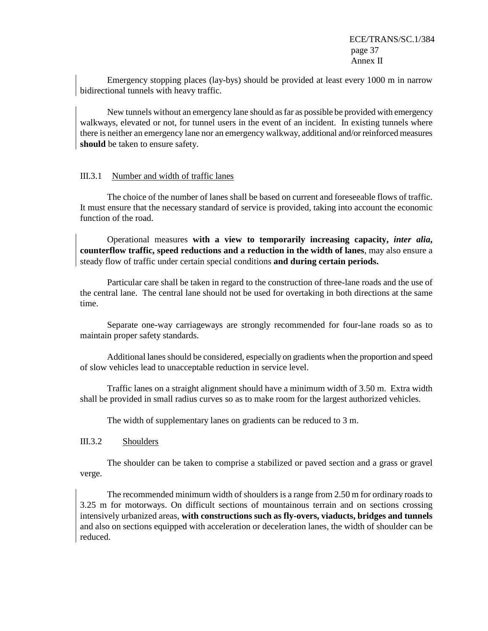Emergency stopping places (lay-bys) should be provided at least every 1000 m in narrow bidirectional tunnels with heavy traffic.

New tunnels without an emergency lane should as far as possible be provided with emergency walkways, elevated or not, for tunnel users in the event of an incident. In existing tunnels where there is neither an emergency lane nor an emergency walkway, additional and/or reinforced measures **should** be taken to ensure safety.

### III.3.1 Number and width of traffic lanes

The choice of the number of lanes shall be based on current and foreseeable flows of traffic. It must ensure that the necessary standard of service is provided, taking into account the economic function of the road.

Operational measures **with a view to temporarily increasing capacity,** *inter alia***, counterflow traffic, speed reductions and a reduction in the width of lanes**, may also ensure a steady flow of traffic under certain special conditions **and during certain periods.** 

Particular care shall be taken in regard to the construction of three-lane roads and the use of the central lane. The central lane should not be used for overtaking in both directions at the same time.

Separate one-way carriageways are strongly recommended for four-lane roads so as to maintain proper safety standards.

Additional lanes should be considered, especially on gradients when the proportion and speed of slow vehicles lead to unacceptable reduction in service level.

Traffic lanes on a straight alignment should have a minimum width of 3.50 m. Extra width shall be provided in small radius curves so as to make room for the largest authorized vehicles.

The width of supplementary lanes on gradients can be reduced to 3 m.

# III.3.2 Shoulders

The shoulder can be taken to comprise a stabilized or paved section and a grass or gravel verge.

 The recommended minimum width of shoulders is a range from 2.50 m for ordinary roads to 3.25 m for motorways. On difficult sections of mountainous terrain and on sections crossing intensively urbanized areas, **with constructions such as fly-overs, viaducts, bridges and tunnels**  and also on sections equipped with acceleration or deceleration lanes, the width of shoulder can be reduced.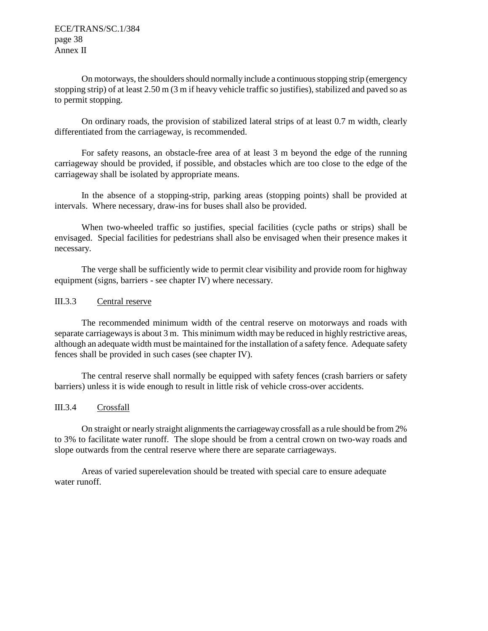ECE/TRANS/SC.1/384 page 38 Annex II

On motorways, the shoulders should normally include a continuous stopping strip (emergency stopping strip) of at least 2.50 m (3 m if heavy vehicle traffic so justifies), stabilized and paved so as to permit stopping.

On ordinary roads, the provision of stabilized lateral strips of at least 0.7 m width, clearly differentiated from the carriageway, is recommended.

For safety reasons, an obstacle-free area of at least 3 m beyond the edge of the running carriageway should be provided, if possible, and obstacles which are too close to the edge of the carriageway shall be isolated by appropriate means.

In the absence of a stopping-strip, parking areas (stopping points) shall be provided at intervals. Where necessary, draw-ins for buses shall also be provided.

When two-wheeled traffic so justifies, special facilities (cycle paths or strips) shall be envisaged. Special facilities for pedestrians shall also be envisaged when their presence makes it necessary.

The verge shall be sufficiently wide to permit clear visibility and provide room for highway equipment (signs, barriers - see chapter IV) where necessary.

### III.3.3 Central reserve

The recommended minimum width of the central reserve on motorways and roads with separate carriageways is about 3 m. This minimum width may be reduced in highly restrictive areas, although an adequate width must be maintained for the installation of a safety fence. Adequate safety fences shall be provided in such cases (see chapter IV).

The central reserve shall normally be equipped with safety fences (crash barriers or safety barriers) unless it is wide enough to result in little risk of vehicle cross-over accidents.

# III.3.4 Crossfall

On straight or nearly straight alignments the carriageway crossfall as a rule should be from 2% to 3% to facilitate water runoff. The slope should be from a central crown on two-way roads and slope outwards from the central reserve where there are separate carriageways.

Areas of varied superelevation should be treated with special care to ensure adequate water runoff.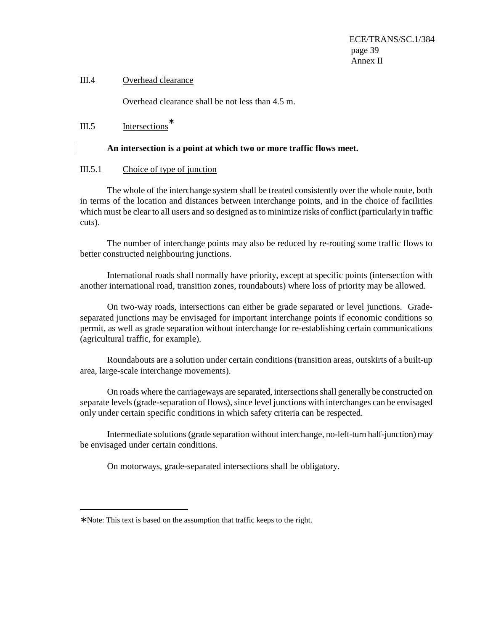# III.4 Overhead clearance

Overhead clearance shall be not less than 4.5 m.

III.5 Intersections<sup>∗</sup>

#### **An intersection is a point at which two or more traffic flows meet.**

#### III.5.1 Choice of type of junction

The whole of the interchange system shall be treated consistently over the whole route, both in terms of the location and distances between interchange points, and in the choice of facilities which must be clear to all users and so designed as to minimize risks of conflict (particularly in traffic cuts).

The number of interchange points may also be reduced by re-routing some traffic flows to better constructed neighbouring junctions.

International roads shall normally have priority, except at specific points (intersection with another international road, transition zones, roundabouts) where loss of priority may be allowed.

On two-way roads, intersections can either be grade separated or level junctions. Gradeseparated junctions may be envisaged for important interchange points if economic conditions so permit, as well as grade separation without interchange for re-establishing certain communications (agricultural traffic, for example).

Roundabouts are a solution under certain conditions (transition areas, outskirts of a built-up area, large-scale interchange movements).

On roads where the carriageways are separated, intersections shall generally be constructed on separate levels (grade-separation of flows), since level junctions with interchanges can be envisaged only under certain specific conditions in which safety criteria can be respected.

Intermediate solutions (grade separation without interchange, no-left-turn half-junction) may be envisaged under certain conditions.

On motorways, grade-separated intersections shall be obligatory.

 $\overline{a}$ 

<sup>∗</sup> Note: This text is based on the assumption that traffic keeps to the right.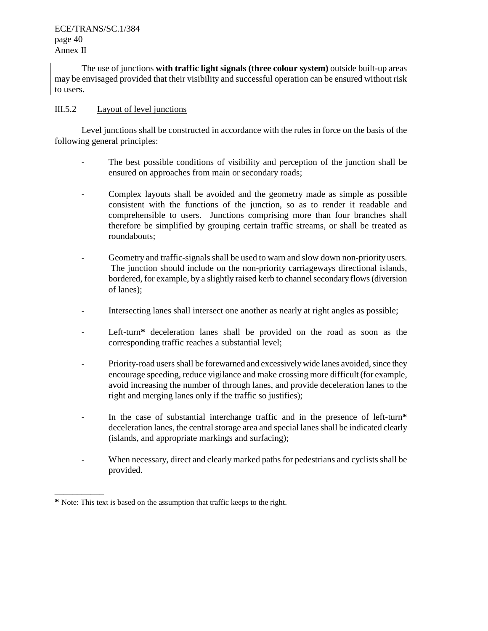# ECE/TRANS/SC.1/384 page 40 Annex II

The use of junctions **with traffic light signals (three colour system)** outside built-up areas may be envisaged provided that their visibility and successful operation can be ensured without risk to users.

# III.5.2 Layout of level junctions

Level junctions shall be constructed in accordance with the rules in force on the basis of the following general principles:

- The best possible conditions of visibility and perception of the junction shall be ensured on approaches from main or secondary roads;
- Complex layouts shall be avoided and the geometry made as simple as possible consistent with the functions of the junction, so as to render it readable and comprehensible to users. Junctions comprising more than four branches shall therefore be simplified by grouping certain traffic streams, or shall be treated as roundabouts;
- Geometry and traffic-signals shall be used to warn and slow down non-priority users. The junction should include on the non-priority carriageways directional islands, bordered, for example, by a slightly raised kerb to channel secondary flows (diversion of lanes);
- Intersecting lanes shall intersect one another as nearly at right angles as possible;
- Left-turn<sup>\*</sup> deceleration lanes shall be provided on the road as soon as the corresponding traffic reaches a substantial level;
- Priority-road users shall be forewarned and excessively wide lanes avoided, since they encourage speeding, reduce vigilance and make crossing more difficult (for example, avoid increasing the number of through lanes, and provide deceleration lanes to the right and merging lanes only if the traffic so justifies);
- In the case of substantial interchange traffic and in the presence of left-turn**\*** deceleration lanes, the central storage area and special lanes shall be indicated clearly (islands, and appropriate markings and surfacing);
- When necessary, direct and clearly marked paths for pedestrians and cyclists shall be provided.

\_\_\_\_\_\_\_\_\_\_\_

**<sup>\*</sup>** Note: This text is based on the assumption that traffic keeps to the right.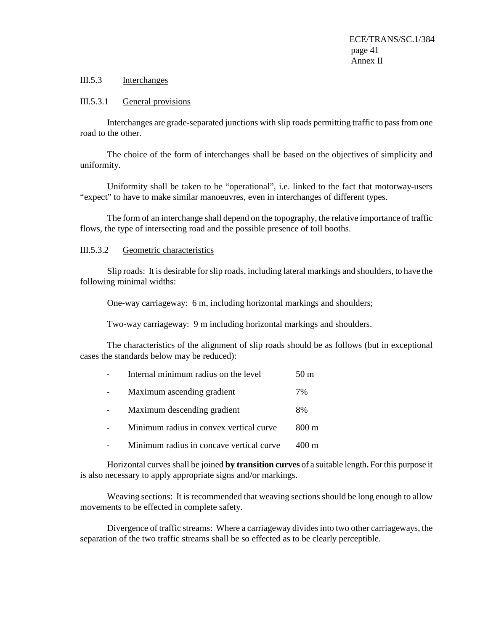## III.5.3 Interchanges

#### III.5.3.1 General provisions

Interchanges are grade-separated junctions with slip roads permitting traffic to pass from one road to the other.

The choice of the form of interchanges shall be based on the objectives of simplicity and uniformity.

Uniformity shall be taken to be "operational", i.e. linked to the fact that motorway-users "expect" to have to make similar manoeuvres, even in interchanges of different types.

The form of an interchange shall depend on the topography, the relative importance of traffic flows, the type of intersecting road and the possible presence of toll booths.

#### III.5.3.2 Geometric characteristics

Slip roads: It is desirable for slip roads, including lateral markings and shoulders, to have the following minimal widths:

One-way carriageway: 6 m, including horizontal markings and shoulders;

Two-way carriageway: 9 m including horizontal markings and shoulders.

The characteristics of the alignment of slip roads should be as follows (but in exceptional cases the standards below may be reduced):

|  | Internal minimum radius on the level |  | 50 <sub>m</sub> |
|--|--------------------------------------|--|-----------------|
|  |                                      |  |                 |

- Maximum ascending gradient 7%
- Maximum descending gradient 8%
- Minimum radius in convex vertical curve 800 m
- Minimum radius in concave vertical curve 400 m

Horizontal curves shall be joined **by transition curves** of a suitable length**.** For this purpose it is also necessary to apply appropriate signs and/or markings.

Weaving sections: It is recommended that weaving sections should be long enough to allow movements to be effected in complete safety.

Divergence of traffic streams: Where a carriageway divides into two other carriageways, the separation of the two traffic streams shall be so effected as to be clearly perceptible.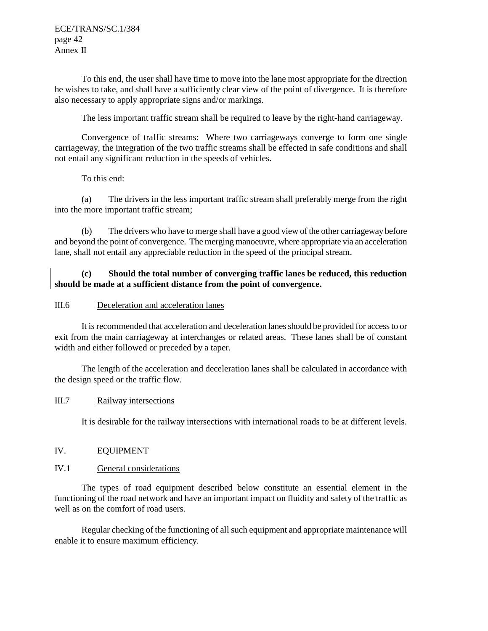ECE/TRANS/SC.1/384 page 42 Annex II

To this end, the user shall have time to move into the lane most appropriate for the direction he wishes to take, and shall have a sufficiently clear view of the point of divergence. It is therefore also necessary to apply appropriate signs and/or markings.

The less important traffic stream shall be required to leave by the right-hand carriageway.

Convergence of traffic streams: Where two carriageways converge to form one single carriageway, the integration of the two traffic streams shall be effected in safe conditions and shall not entail any significant reduction in the speeds of vehicles.

To this end:

(a) The drivers in the less important traffic stream shall preferably merge from the right into the more important traffic stream;

(b) The drivers who have to merge shall have a good view of the other carriageway before and beyond the point of convergence. The merging manoeuvre, where appropriate via an acceleration lane, shall not entail any appreciable reduction in the speed of the principal stream.

# **(c) Should the total number of converging traffic lanes be reduced, this reduction should be made at a sufficient distance from the point of convergence.**

### III.6 Deceleration and acceleration lanes

It is recommended that acceleration and deceleration lanes should be provided for access to or exit from the main carriageway at interchanges or related areas. These lanes shall be of constant width and either followed or preceded by a taper.

The length of the acceleration and deceleration lanes shall be calculated in accordance with the design speed or the traffic flow.

### III.7 Railway intersections

It is desirable for the railway intersections with international roads to be at different levels.

### IV. EQUIPMENT

### IV.1 General considerations

The types of road equipment described below constitute an essential element in the functioning of the road network and have an important impact on fluidity and safety of the traffic as well as on the comfort of road users.

Regular checking of the functioning of all such equipment and appropriate maintenance will enable it to ensure maximum efficiency.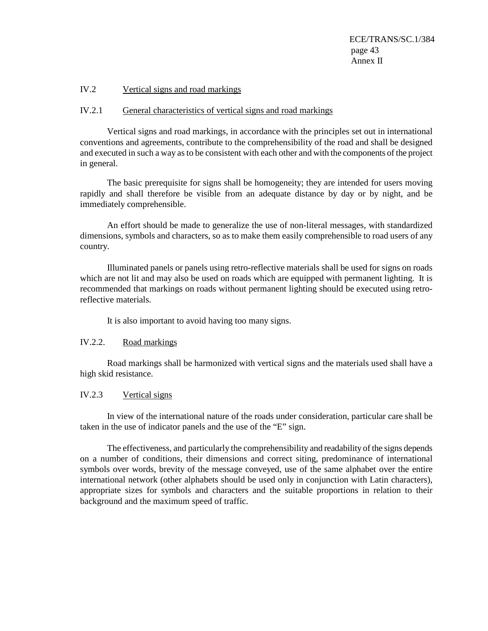ECE/TRANS/SC.1/384 page 43 Annex II

#### IV.2 Vertical signs and road markings

#### IV.2.1 General characteristics of vertical signs and road markings

Vertical signs and road markings, in accordance with the principles set out in international conventions and agreements, contribute to the comprehensibility of the road and shall be designed and executed in such a way as to be consistent with each other and with the components of the project in general.

The basic prerequisite for signs shall be homogeneity; they are intended for users moving rapidly and shall therefore be visible from an adequate distance by day or by night, and be immediately comprehensible.

An effort should be made to generalize the use of non-literal messages, with standardized dimensions, symbols and characters, so as to make them easily comprehensible to road users of any country.

Illuminated panels or panels using retro-reflective materials shall be used for signs on roads which are not lit and may also be used on roads which are equipped with permanent lighting. It is recommended that markings on roads without permanent lighting should be executed using retroreflective materials.

It is also important to avoid having too many signs.

#### IV.2.2. Road markings

Road markings shall be harmonized with vertical signs and the materials used shall have a high skid resistance.

#### IV.2.3 Vertical signs

In view of the international nature of the roads under consideration, particular care shall be taken in the use of indicator panels and the use of the "E" sign.

The effectiveness, and particularly the comprehensibility and readability of the signs depends on a number of conditions, their dimensions and correct siting, predominance of international symbols over words, brevity of the message conveyed, use of the same alphabet over the entire international network (other alphabets should be used only in conjunction with Latin characters), appropriate sizes for symbols and characters and the suitable proportions in relation to their background and the maximum speed of traffic.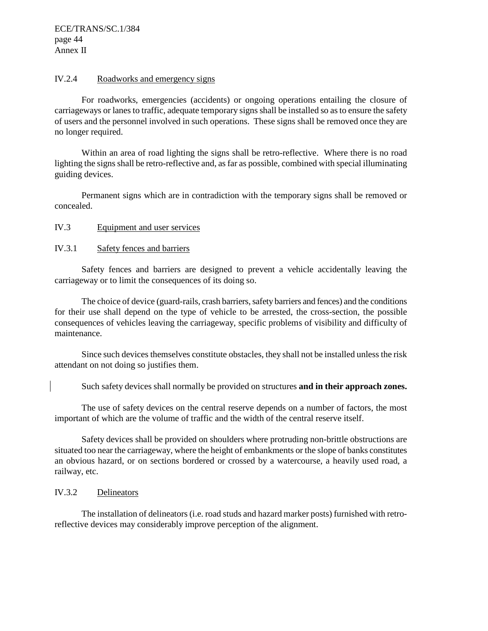### IV.2.4 Roadworks and emergency signs

For roadworks, emergencies (accidents) or ongoing operations entailing the closure of carriageways or lanes to traffic, adequate temporary signs shall be installed so as to ensure the safety of users and the personnel involved in such operations. These signs shall be removed once they are no longer required.

Within an area of road lighting the signs shall be retro-reflective. Where there is no road lighting the signs shall be retro-reflective and, as far as possible, combined with special illuminating guiding devices.

Permanent signs which are in contradiction with the temporary signs shall be removed or concealed.

#### IV.3 Equipment and user services

#### IV.3.1 Safety fences and barriers

Safety fences and barriers are designed to prevent a vehicle accidentally leaving the carriageway or to limit the consequences of its doing so.

The choice of device (guard-rails, crash barriers, safety barriers and fences) and the conditions for their use shall depend on the type of vehicle to be arrested, the cross-section, the possible consequences of vehicles leaving the carriageway, specific problems of visibility and difficulty of maintenance.

Since such devices themselves constitute obstacles, they shall not be installed unless the risk attendant on not doing so justifies them.

Such safety devices shall normally be provided on structures **and in their approach zones.** 

The use of safety devices on the central reserve depends on a number of factors, the most important of which are the volume of traffic and the width of the central reserve itself.

Safety devices shall be provided on shoulders where protruding non-brittle obstructions are situated too near the carriageway, where the height of embankments or the slope of banks constitutes an obvious hazard, or on sections bordered or crossed by a watercourse, a heavily used road, a railway, etc.

### IV.3.2 Delineators

The installation of delineators (i.e. road studs and hazard marker posts) furnished with retroreflective devices may considerably improve perception of the alignment.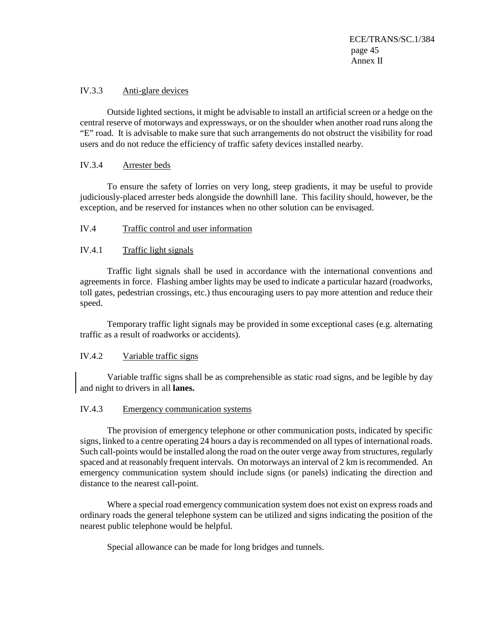ECE/TRANS/SC.1/384 page 45 Annex II

### IV.3.3 Anti-glare devices

Outside lighted sections, it might be advisable to install an artificial screen or a hedge on the central reserve of motorways and expressways, or on the shoulder when another road runs along the "E" road. It is advisable to make sure that such arrangements do not obstruct the visibility for road users and do not reduce the efficiency of traffic safety devices installed nearby.

### IV.3.4 Arrester beds

To ensure the safety of lorries on very long, steep gradients, it may be useful to provide judiciously-placed arrester beds alongside the downhill lane. This facility should, however, be the exception, and be reserved for instances when no other solution can be envisaged.

# IV.4 Traffic control and user information

# IV.4.1 Traffic light signals

Traffic light signals shall be used in accordance with the international conventions and agreements in force. Flashing amber lights may be used to indicate a particular hazard (roadworks, toll gates, pedestrian crossings, etc.) thus encouraging users to pay more attention and reduce their speed.

Temporary traffic light signals may be provided in some exceptional cases (e.g. alternating traffic as a result of roadworks or accidents).

#### IV.4.2 Variable traffic signs

Variable traffic signs shall be as comprehensible as static road signs, and be legible by day and night to drivers in all **lanes.**

### IV.4.3 Emergency communication systems

The provision of emergency telephone or other communication posts, indicated by specific signs, linked to a centre operating 24 hours a day is recommended on all types of international roads. Such call-points would be installed along the road on the outer verge away from structures, regularly spaced and at reasonably frequent intervals. On motorways an interval of 2 km is recommended. An emergency communication system should include signs (or panels) indicating the direction and distance to the nearest call-point.

Where a special road emergency communication system does not exist on express roads and ordinary roads the general telephone system can be utilized and signs indicating the position of the nearest public telephone would be helpful.

Special allowance can be made for long bridges and tunnels.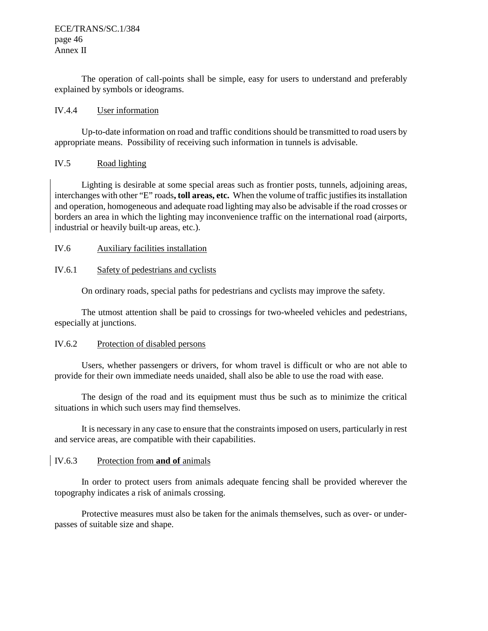ECE/TRANS/SC.1/384 page 46 Annex II

The operation of call-points shall be simple, easy for users to understand and preferably explained by symbols or ideograms.

### IV.4.4 User information

Up-to-date information on road and traffic conditions should be transmitted to road users by appropriate means. Possibility of receiving such information in tunnels is advisable.

# IV.5 Road lighting

Lighting is desirable at some special areas such as frontier posts, tunnels, adjoining areas, interchanges with other "E" roads**, toll areas, etc.** When the volume of traffic justifies its installation and operation, homogeneous and adequate road lighting may also be advisable if the road crosses or borders an area in which the lighting may inconvenience traffic on the international road (airports, industrial or heavily built-up areas, etc.).

# IV.6 Auxiliary facilities installation

# IV.6.1 Safety of pedestrians and cyclists

On ordinary roads, special paths for pedestrians and cyclists may improve the safety.

The utmost attention shall be paid to crossings for two-wheeled vehicles and pedestrians, especially at junctions.

### IV.6.2 Protection of disabled persons

Users, whether passengers or drivers, for whom travel is difficult or who are not able to provide for their own immediate needs unaided, shall also be able to use the road with ease.

The design of the road and its equipment must thus be such as to minimize the critical situations in which such users may find themselves.

It is necessary in any case to ensure that the constraints imposed on users, particularly in rest and service areas, are compatible with their capabilities.

# IV.6.3 Protection from **and of** animals

In order to protect users from animals adequate fencing shall be provided wherever the topography indicates a risk of animals crossing.

Protective measures must also be taken for the animals themselves, such as over- or underpasses of suitable size and shape.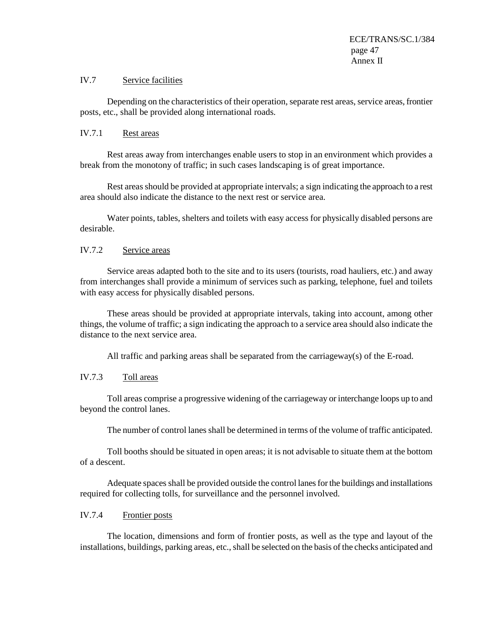#### IV.7 Service facilities

Depending on the characteristics of their operation, separate rest areas, service areas, frontier posts, etc., shall be provided along international roads.

# IV.7.1 Rest areas

Rest areas away from interchanges enable users to stop in an environment which provides a break from the monotony of traffic; in such cases landscaping is of great importance.

Rest areas should be provided at appropriate intervals; a sign indicating the approach to a rest area should also indicate the distance to the next rest or service area.

Water points, tables, shelters and toilets with easy access for physically disabled persons are desirable.

# IV.7.2 Service areas

Service areas adapted both to the site and to its users (tourists, road hauliers, etc.) and away from interchanges shall provide a minimum of services such as parking, telephone, fuel and toilets with easy access for physically disabled persons.

These areas should be provided at appropriate intervals, taking into account, among other things, the volume of traffic; a sign indicating the approach to a service area should also indicate the distance to the next service area.

All traffic and parking areas shall be separated from the carriageway(s) of the E-road.

### IV.7.3 Toll areas

Toll areas comprise a progressive widening of the carriageway or interchange loops up to and beyond the control lanes.

The number of control lanes shall be determined in terms of the volume of traffic anticipated.

Toll booths should be situated in open areas; it is not advisable to situate them at the bottom of a descent.

Adequate spaces shall be provided outside the control lanes for the buildings and installations required for collecting tolls, for surveillance and the personnel involved.

#### IV.7.4 Frontier posts

The location, dimensions and form of frontier posts, as well as the type and layout of the installations, buildings, parking areas, etc., shall be selected on the basis of the checks anticipated and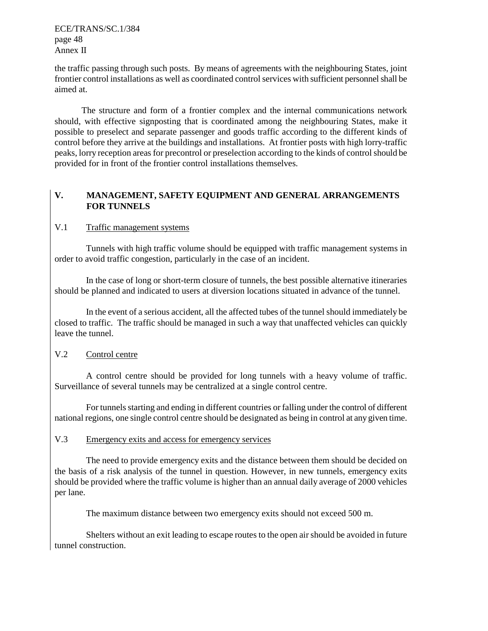ECE/TRANS/SC.1/384 page 48 Annex II

the traffic passing through such posts. By means of agreements with the neighbouring States, joint frontier control installations as well as coordinated control services with sufficient personnel shall be aimed at.

The structure and form of a frontier complex and the internal communications network should, with effective signposting that is coordinated among the neighbouring States, make it possible to preselect and separate passenger and goods traffic according to the different kinds of control before they arrive at the buildings and installations. At frontier posts with high lorry-traffic peaks, lorry reception areas for precontrol or preselection according to the kinds of control should be provided for in front of the frontier control installations themselves.

# **V. MANAGEMENT, SAFETY EQUIPMENT AND GENERAL ARRANGEMENTS FOR TUNNELS**

# V.1 Traffic management systems

 Tunnels with high traffic volume should be equipped with traffic management systems in order to avoid traffic congestion, particularly in the case of an incident.

In the case of long or short-term closure of tunnels, the best possible alternative itineraries should be planned and indicated to users at diversion locations situated in advance of the tunnel.

In the event of a serious accident, all the affected tubes of the tunnel should immediately be closed to traffic. The traffic should be managed in such a way that unaffected vehicles can quickly leave the tunnel.

# V.2 Control centre

 A control centre should be provided for long tunnels with a heavy volume of traffic. Surveillance of several tunnels may be centralized at a single control centre.

 For tunnels starting and ending in different countries or falling under the control of different national regions, one single control centre should be designated as being in control at any given time.

### V.3 Emergency exits and access for emergency services

 The need to provide emergency exits and the distance between them should be decided on the basis of a risk analysis of the tunnel in question. However, in new tunnels, emergency exits should be provided where the traffic volume is higher than an annual daily average of 2000 vehicles per lane.

The maximum distance between two emergency exits should not exceed 500 m.

Shelters without an exit leading to escape routes to the open air should be avoided in future tunnel construction.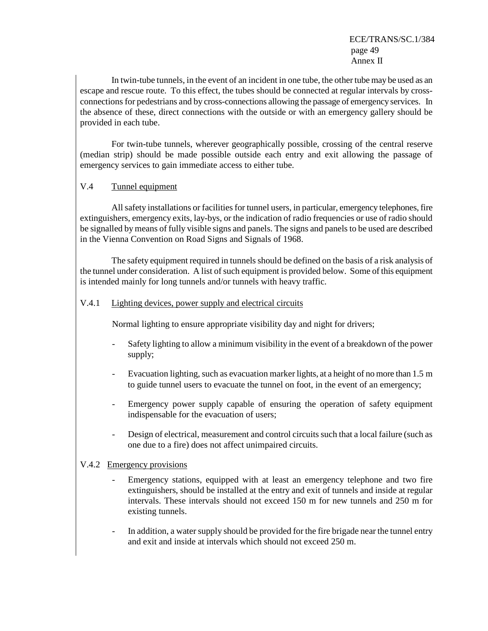ECE/TRANS/SC.1/384 page 49 Annex II

In twin-tube tunnels, in the event of an incident in one tube, the other tube may be used as an escape and rescue route. To this effect, the tubes should be connected at regular intervals by crossconnections for pedestrians and by cross-connections allowing the passage of emergency services. In the absence of these, direct connections with the outside or with an emergency gallery should be provided in each tube.

 For twin-tube tunnels, wherever geographically possible, crossing of the central reserve (median strip) should be made possible outside each entry and exit allowing the passage of emergency services to gain immediate access to either tube.

# V.4 Tunnel equipment

 All safety installations or facilities for tunnel users, in particular, emergency telephones, fire extinguishers, emergency exits, lay-bys, or the indication of radio frequencies or use of radio should be signalled by means of fully visible signs and panels. The signs and panels to be used are described in the Vienna Convention on Road Signs and Signals of 1968.

The safety equipment required in tunnels should be defined on the basis of a risk analysis of the tunnel under consideration. A list of such equipment is provided below. Some of this equipment is intended mainly for long tunnels and/or tunnels with heavy traffic.

# V.4.1 Lighting devices, power supply and electrical circuits

Normal lighting to ensure appropriate visibility day and night for drivers;

- Safety lighting to allow a minimum visibility in the event of a breakdown of the power supply;
- Evacuation lighting, such as evacuation marker lights, at a height of no more than 1.5 m to guide tunnel users to evacuate the tunnel on foot, in the event of an emergency;
- Emergency power supply capable of ensuring the operation of safety equipment indispensable for the evacuation of users;
- Design of electrical, measurement and control circuits such that a local failure (such as one due to a fire) does not affect unimpaired circuits.

# V.4.2 Emergency provisions

- Emergency stations, equipped with at least an emergency telephone and two fire extinguishers, should be installed at the entry and exit of tunnels and inside at regular intervals. These intervals should not exceed 150 m for new tunnels and 250 m for existing tunnels.
- In addition, a water supply should be provided for the fire brigade near the tunnel entry and exit and inside at intervals which should not exceed 250 m.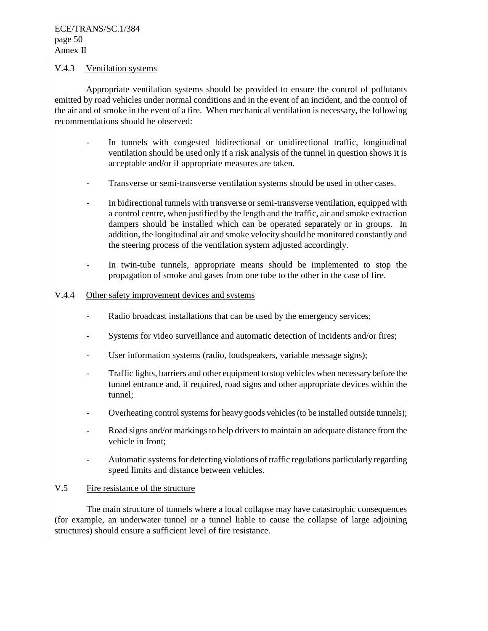# V.4.3 Ventilation systems

 Appropriate ventilation systems should be provided to ensure the control of pollutants emitted by road vehicles under normal conditions and in the event of an incident, and the control of the air and of smoke in the event of a fire. When mechanical ventilation is necessary, the following recommendations should be observed:

- In tunnels with congested bidirectional or unidirectional traffic, longitudinal ventilation should be used only if a risk analysis of the tunnel in question shows it is acceptable and/or if appropriate measures are taken.
- Transverse or semi-transverse ventilation systems should be used in other cases.
- In bidirectional tunnels with transverse or semi-transverse ventilation, equipped with a control centre, when justified by the length and the traffic, air and smoke extraction dampers should be installed which can be operated separately or in groups. In addition, the longitudinal air and smoke velocity should be monitored constantly and the steering process of the ventilation system adjusted accordingly.
- In twin-tube tunnels, appropriate means should be implemented to stop the propagation of smoke and gases from one tube to the other in the case of fire.

### V.4.4 Other safety improvement devices and systems

- Radio broadcast installations that can be used by the emergency services;
- Systems for video surveillance and automatic detection of incidents and/or fires;
- User information systems (radio, loudspeakers, variable message signs);
- Traffic lights, barriers and other equipment to stop vehicles when necessary before the tunnel entrance and, if required, road signs and other appropriate devices within the tunnel;
- Overheating control systems for heavy goods vehicles (to be installed outside tunnels);
- Road signs and/or markings to help drivers to maintain an adequate distance from the vehicle in front;
- Automatic systems for detecting violations of traffic regulations particularly regarding speed limits and distance between vehicles.

### V.5 Fire resistance of the structure

 The main structure of tunnels where a local collapse may have catastrophic consequences (for example, an underwater tunnel or a tunnel liable to cause the collapse of large adjoining structures) should ensure a sufficient level of fire resistance.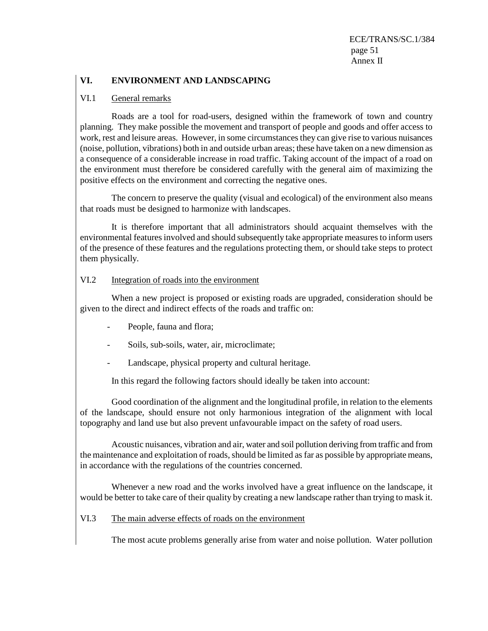ECE/TRANS/SC.1/384 page 51 Annex II

# **VI. ENVIRONMENT AND LANDSCAPING**

# VI.1 General remarks

 Roads are a tool for road-users, designed within the framework of town and country planning. They make possible the movement and transport of people and goods and offer access to work, rest and leisure areas. However, in some circumstances they can give rise to various nuisances (noise, pollution, vibrations) both in and outside urban areas; these have taken on a new dimension as a consequence of a considerable increase in road traffic. Taking account of the impact of a road on the environment must therefore be considered carefully with the general aim of maximizing the positive effects on the environment and correcting the negative ones.

 The concern to preserve the quality (visual and ecological) of the environment also means that roads must be designed to harmonize with landscapes.

 It is therefore important that all administrators should acquaint themselves with the environmental features involved and should subsequently take appropriate measures to inform users of the presence of these features and the regulations protecting them, or should take steps to protect them physically.

# VI.2 Integration of roads into the environment

 When a new project is proposed or existing roads are upgraded, consideration should be given to the direct and indirect effects of the roads and traffic on:

- People, fauna and flora;
- Soils, sub-soils, water, air, microclimate;
- Landscape, physical property and cultural heritage.

In this regard the following factors should ideally be taken into account:

 Good coordination of the alignment and the longitudinal profile, in relation to the elements of the landscape, should ensure not only harmonious integration of the alignment with local topography and land use but also prevent unfavourable impact on the safety of road users.

 Acoustic nuisances, vibration and air, water and soil pollution deriving from traffic and from the maintenance and exploitation of roads, should be limited as far as possible by appropriate means, in accordance with the regulations of the countries concerned.

 Whenever a new road and the works involved have a great influence on the landscape, it would be better to take care of their quality by creating a new landscape rather than trying to mask it.

# VI.3 The main adverse effects of roads on the environment

The most acute problems generally arise from water and noise pollution. Water pollution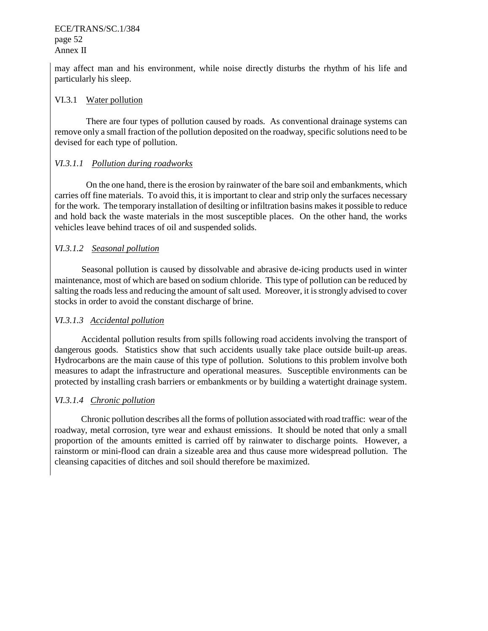# ECE/TRANS/SC.1/384 page 52 Annex II

may affect man and his environment, while noise directly disturbs the rhythm of his life and particularly his sleep.

# VI.3.1 Water pollution

 There are four types of pollution caused by roads. As conventional drainage systems can remove only a small fraction of the pollution deposited on the roadway, specific solutions need to be devised for each type of pollution.

# *VI.3.1.1 Pollution during roadworks*

 On the one hand, there is the erosion by rainwater of the bare soil and embankments, which carries off fine materials. To avoid this, it is important to clear and strip only the surfaces necessary for the work. The temporary installation of desilting or infiltration basins makes it possible to reduce and hold back the waste materials in the most susceptible places. On the other hand, the works vehicles leave behind traces of oil and suspended solids.

# *VI.3.1.2 Seasonal pollution*

 Seasonal pollution is caused by dissolvable and abrasive de-icing products used in winter maintenance, most of which are based on sodium chloride. This type of pollution can be reduced by salting the roads less and reducing the amount of salt used. Moreover, it is strongly advised to cover stocks in order to avoid the constant discharge of brine.

# *VI.3.1.3 Accidental pollution*

Accidental pollution results from spills following road accidents involving the transport of dangerous goods. Statistics show that such accidents usually take place outside built-up areas. Hydrocarbons are the main cause of this type of pollution. Solutions to this problem involve both measures to adapt the infrastructure and operational measures. Susceptible environments can be protected by installing crash barriers or embankments or by building a watertight drainage system.

# *VI.3.1.4 Chronic pollution*

Chronic pollution describes all the forms of pollution associated with road traffic: wear of the roadway, metal corrosion, tyre wear and exhaust emissions. It should be noted that only a small proportion of the amounts emitted is carried off by rainwater to discharge points. However, a rainstorm or mini-flood can drain a sizeable area and thus cause more widespread pollution. The cleansing capacities of ditches and soil should therefore be maximized.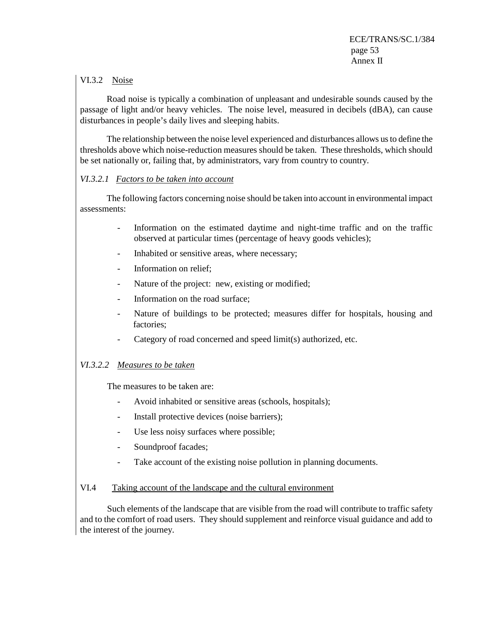# VI.3.2 Noise

 Road noise is typically a combination of unpleasant and undesirable sounds caused by the passage of light and/or heavy vehicles. The noise level, measured in decibels (dBA), can cause disturbances in people's daily lives and sleeping habits.

 The relationship between the noise level experienced and disturbances allows us to define the thresholds above which noise-reduction measures should be taken. These thresholds, which should be set nationally or, failing that, by administrators, vary from country to country.

# *VI.3.2.1 Factors to be taken into account*

 The following factors concerning noise should be taken into account in environmental impact assessments:

- Information on the estimated daytime and night-time traffic and on the traffic observed at particular times (percentage of heavy goods vehicles);
- Inhabited or sensitive areas, where necessary;
- Information on relief;
- Nature of the project: new, existing or modified;
- Information on the road surface;
- Nature of buildings to be protected; measures differ for hospitals, housing and factories;
- Category of road concerned and speed limit(s) authorized, etc.

# *VI.3.2.2 Measures to be taken*

The measures to be taken are:

- Avoid inhabited or sensitive areas (schools, hospitals);
- Install protective devices (noise barriers);
- Use less noisy surfaces where possible;
- Soundproof facades;
- Take account of the existing noise pollution in planning documents.

# VI.4 Taking account of the landscape and the cultural environment

 Such elements of the landscape that are visible from the road will contribute to traffic safety and to the comfort of road users. They should supplement and reinforce visual guidance and add to the interest of the journey.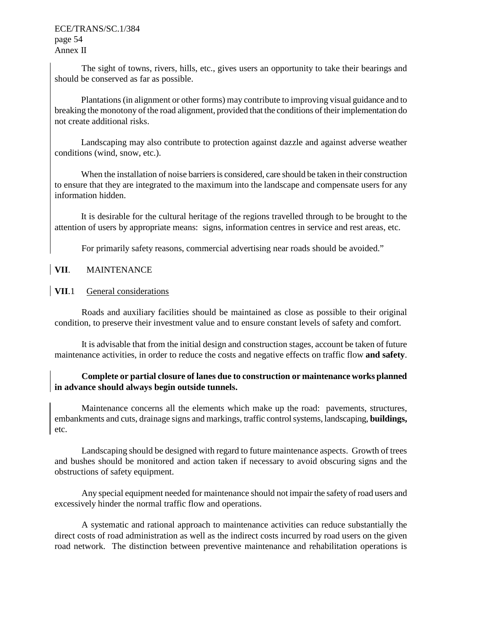The sight of towns, rivers, hills, etc., gives users an opportunity to take their bearings and should be conserved as far as possible.

Plantations (in alignment or other forms) may contribute to improving visual guidance and to breaking the monotony of the road alignment, provided that the conditions of their implementation do not create additional risks.

Landscaping may also contribute to protection against dazzle and against adverse weather conditions (wind, snow, etc.).

When the installation of noise barriers is considered, care should be taken in their construction to ensure that they are integrated to the maximum into the landscape and compensate users for any information hidden.

It is desirable for the cultural heritage of the regions travelled through to be brought to the attention of users by appropriate means: signs, information centres in service and rest areas, etc.

For primarily safety reasons, commercial advertising near roads should be avoided."

# **VII**. MAINTENANCE

# **VII**.1 General considerations

Roads and auxiliary facilities should be maintained as close as possible to their original condition, to preserve their investment value and to ensure constant levels of safety and comfort.

It is advisable that from the initial design and construction stages, account be taken of future maintenance activities, in order to reduce the costs and negative effects on traffic flow **and safety**.

# **Complete or partial closure of lanes due to construction or maintenance works planned in advance should always begin outside tunnels.**

Maintenance concerns all the elements which make up the road: pavements, structures, embankments and cuts, drainage signs and markings, traffic control systems, landscaping, **buildings,** etc.

Landscaping should be designed with regard to future maintenance aspects. Growth of trees and bushes should be monitored and action taken if necessary to avoid obscuring signs and the obstructions of safety equipment.

Any special equipment needed for maintenance should not impair the safety of road users and excessively hinder the normal traffic flow and operations.

A systematic and rational approach to maintenance activities can reduce substantially the direct costs of road administration as well as the indirect costs incurred by road users on the given road network. The distinction between preventive maintenance and rehabilitation operations is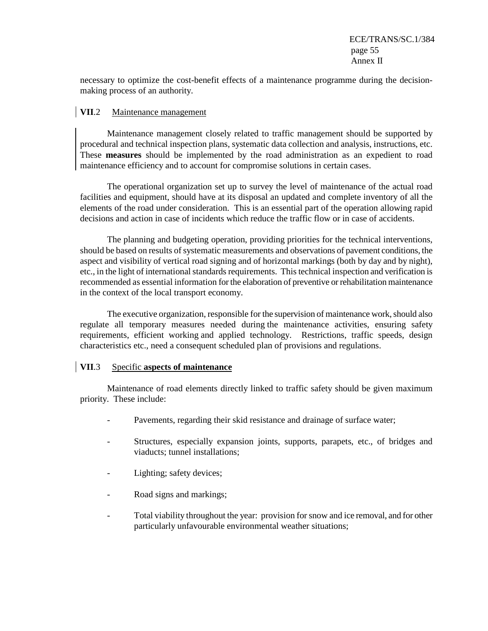necessary to optimize the cost-benefit effects of a maintenance programme during the decisionmaking process of an authority.

# **VII**.2 Maintenance management

Maintenance management closely related to traffic management should be supported by procedural and technical inspection plans, systematic data collection and analysis, instructions, etc. These **measures** should be implemented by the road administration as an expedient to road maintenance efficiency and to account for compromise solutions in certain cases.

The operational organization set up to survey the level of maintenance of the actual road facilities and equipment, should have at its disposal an updated and complete inventory of all the elements of the road under consideration. This is an essential part of the operation allowing rapid decisions and action in case of incidents which reduce the traffic flow or in case of accidents.

The planning and budgeting operation, providing priorities for the technical interventions, should be based on results of systematic measurements and observations of pavement conditions, the aspect and visibility of vertical road signing and of horizontal markings (both by day and by night), etc., in the light of international standards requirements. This technical inspection and verification is recommended as essential information for the elaboration of preventive or rehabilitation maintenance in the context of the local transport economy.

The executive organization, responsible for the supervision of maintenance work, should also regulate all temporary measures needed during the maintenance activities, ensuring safety requirements, efficient working and applied technology. Restrictions, traffic speeds, design characteristics etc., need a consequent scheduled plan of provisions and regulations.

### **VII**.3 Specific **aspects of maintenance**

Maintenance of road elements directly linked to traffic safety should be given maximum priority. These include:

- Pavements, regarding their skid resistance and drainage of surface water;
- Structures, especially expansion joints, supports, parapets, etc., of bridges and viaducts; tunnel installations;
- Lighting; safety devices;
- Road signs and markings;
- Total viability throughout the year: provision for snow and ice removal, and for other particularly unfavourable environmental weather situations;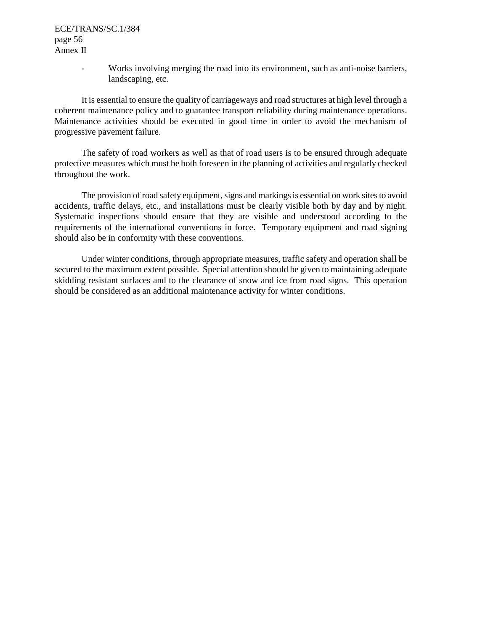- Works involving merging the road into its environment, such as anti-noise barriers, landscaping, etc.

It is essential to ensure the quality of carriageways and road structures at high level through a coherent maintenance policy and to guarantee transport reliability during maintenance operations. Maintenance activities should be executed in good time in order to avoid the mechanism of progressive pavement failure.

The safety of road workers as well as that of road users is to be ensured through adequate protective measures which must be both foreseen in the planning of activities and regularly checked throughout the work.

The provision of road safety equipment, signs and markings is essential on work sites to avoid accidents, traffic delays, etc., and installations must be clearly visible both by day and by night. Systematic inspections should ensure that they are visible and understood according to the requirements of the international conventions in force. Temporary equipment and road signing should also be in conformity with these conventions.

Under winter conditions, through appropriate measures, traffic safety and operation shall be secured to the maximum extent possible. Special attention should be given to maintaining adequate skidding resistant surfaces and to the clearance of snow and ice from road signs. This operation should be considered as an additional maintenance activity for winter conditions.